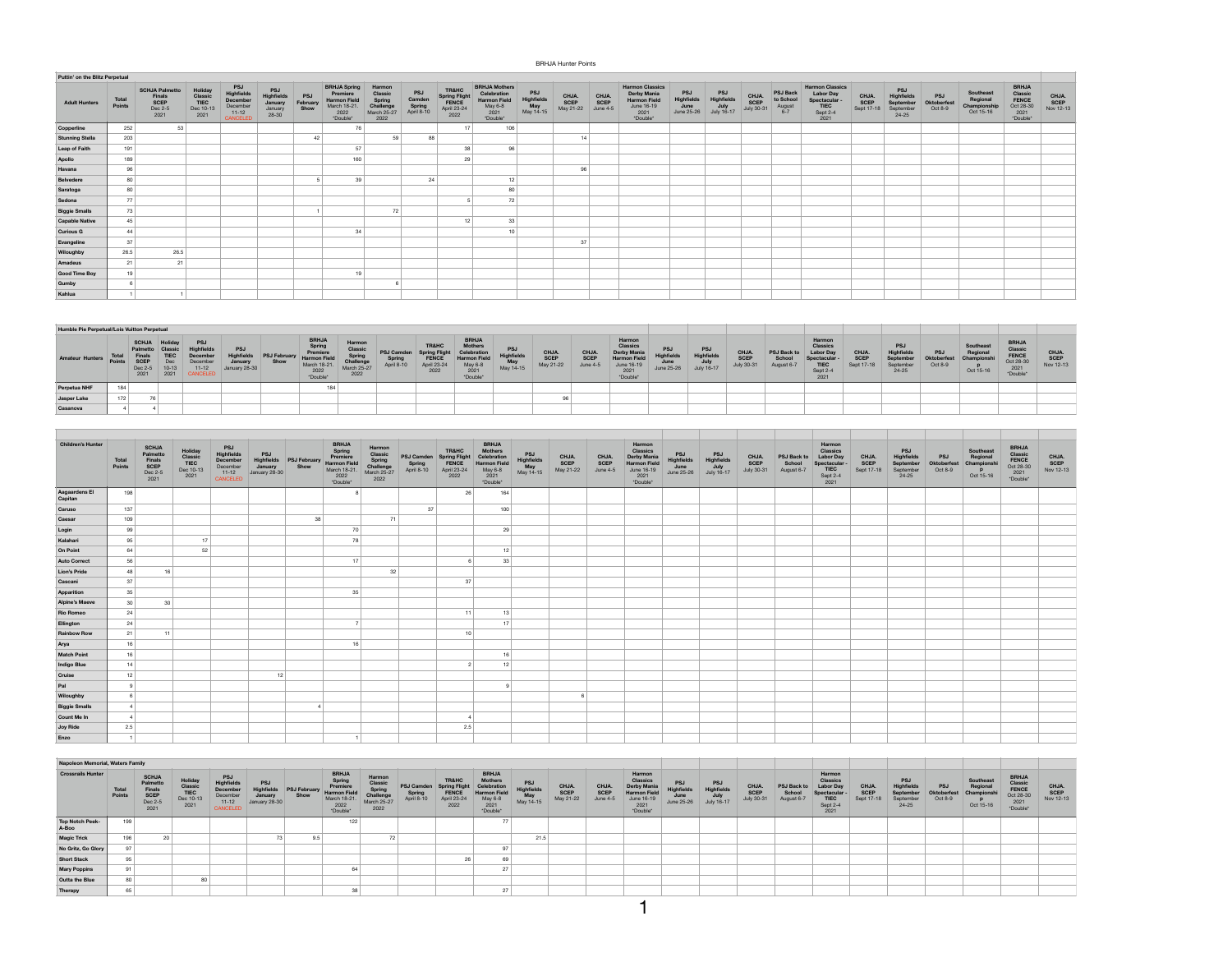## BRHJA Hunter Points

| Puttin' on the Blitz Perpetual |                 |                                                                   |                                                 |                                                                |                                                  |                         |                                                                                            |                                                                 |                                       |                                                        |                                                                                           |                                       |                            |                           |                                                                                                       |                                         |                                 |                             |                                                 |                                                                                       |                             |                                                      |                               |                                                    |                                                                   |                            |
|--------------------------------|-----------------|-------------------------------------------------------------------|-------------------------------------------------|----------------------------------------------------------------|--------------------------------------------------|-------------------------|--------------------------------------------------------------------------------------------|-----------------------------------------------------------------|---------------------------------------|--------------------------------------------------------|-------------------------------------------------------------------------------------------|---------------------------------------|----------------------------|---------------------------|-------------------------------------------------------------------------------------------------------|-----------------------------------------|---------------------------------|-----------------------------|-------------------------------------------------|---------------------------------------------------------------------------------------|-----------------------------|------------------------------------------------------|-------------------------------|----------------------------------------------------|-------------------------------------------------------------------|----------------------------|
| <b>Adult Hunters</b>           | Total<br>Points | <b>SCHJA Palmetto</b><br><b>Finals</b><br>SCEP<br>Dec 2-5<br>2021 | Holiday<br>Classic<br>TIEC<br>Dec 10-13<br>2021 | PSJ<br>Highfields<br>December<br>December<br>11-12<br>CANCELED | PSJ<br>Highfields<br>January<br>January<br>28-30 | PSJ<br>February<br>Show | <b>BRHJA Spring</b><br>Premiere<br><b>Harmon Field</b><br>March 18-21.<br>2022<br>*Double* | Harmon<br>Classic<br>Spring<br>Challenge<br>March 25-27<br>2022 | PSJ<br>Camden<br>Spring<br>April 8-10 | TR&HC<br>Spring Flight<br>FENCE<br>April 23-24<br>2022 | <b>BRHJA Mothers</b><br>Celebration<br><b>Harmon Field</b><br>May 6-8<br>2021<br>"Double" | PSJ<br>Highfields<br>May<br>May 14-15 | CHJA.<br>SCEP<br>May 21-22 | CHJA.<br>SCEP<br>June 4-5 | <b>Harmon Classics</b><br><b>Derby Mania</b><br><b>Harmon Field</b><br>June 16-19<br>2021<br>*Double* | PSJ<br>Highfields<br>June<br>June 25-26 | PSJ<br>Highfields<br>July 16-17 | CHJA.<br>SCEP<br>July 30-31 | <b>PSJ Back</b><br>to School<br>August<br>$6-7$ | <b>Harmon Classics</b><br><b>Labor Day</b><br>Spectacular<br>TIEC<br>Sept 2-4<br>2021 | CHJA.<br>SCEP<br>Sept 17-18 | PSJ<br>Highfields<br>September<br>September<br>24-25 | PSJ<br>Oktoberfest<br>Oct 8-9 | Southeast<br>Regional<br>Championship<br>Oct 15-16 | <b>BRHJA</b><br>Classic<br>FENCE<br>Oct 28-30<br>2021<br>*Double* | CHJA.<br>SCEP<br>Nov 12-13 |
| Copperline                     | 252             | 53                                                                |                                                 |                                                                |                                                  |                         | 76                                                                                         |                                                                 |                                       | 17                                                     | 106                                                                                       |                                       |                            |                           |                                                                                                       |                                         |                                 |                             |                                                 |                                                                                       |                             |                                                      |                               |                                                    |                                                                   |                            |
| <b>Stunning Stella</b>         | 203             |                                                                   |                                                 |                                                                |                                                  | 42                      |                                                                                            | 59                                                              | 88                                    |                                                        |                                                                                           |                                       | 14                         |                           |                                                                                                       |                                         |                                 |                             |                                                 |                                                                                       |                             |                                                      |                               |                                                    |                                                                   |                            |
| Leap of Faith                  | 191             |                                                                   |                                                 |                                                                |                                                  |                         | 57                                                                                         |                                                                 |                                       | 38                                                     | 96                                                                                        |                                       |                            |                           |                                                                                                       |                                         |                                 |                             |                                                 |                                                                                       |                             |                                                      |                               |                                                    |                                                                   |                            |
| Apollo                         | 189             |                                                                   |                                                 |                                                                |                                                  |                         | 160                                                                                        |                                                                 |                                       | 29                                                     |                                                                                           |                                       |                            |                           |                                                                                                       |                                         |                                 |                             |                                                 |                                                                                       |                             |                                                      |                               |                                                    |                                                                   |                            |
| Havana                         | 96              |                                                                   |                                                 |                                                                |                                                  |                         |                                                                                            |                                                                 |                                       |                                                        |                                                                                           |                                       | 96                         |                           |                                                                                                       |                                         |                                 |                             |                                                 |                                                                                       |                             |                                                      |                               |                                                    |                                                                   |                            |
| Belvedere                      | 80              |                                                                   |                                                 |                                                                |                                                  |                         | 39                                                                                         |                                                                 | 24                                    |                                                        | 12                                                                                        |                                       |                            |                           |                                                                                                       |                                         |                                 |                             |                                                 |                                                                                       |                             |                                                      |                               |                                                    |                                                                   |                            |
| Saratoga                       | 80              |                                                                   |                                                 |                                                                |                                                  |                         |                                                                                            |                                                                 |                                       |                                                        | 80                                                                                        |                                       |                            |                           |                                                                                                       |                                         |                                 |                             |                                                 |                                                                                       |                             |                                                      |                               |                                                    |                                                                   |                            |
| Sedona                         | 77              |                                                                   |                                                 |                                                                |                                                  |                         |                                                                                            |                                                                 |                                       |                                                        | 72                                                                                        |                                       |                            |                           |                                                                                                       |                                         |                                 |                             |                                                 |                                                                                       |                             |                                                      |                               |                                                    |                                                                   |                            |
| <b>Biggie Smalls</b>           | 73              |                                                                   |                                                 |                                                                |                                                  |                         |                                                                                            | 72                                                              |                                       |                                                        |                                                                                           |                                       |                            |                           |                                                                                                       |                                         |                                 |                             |                                                 |                                                                                       |                             |                                                      |                               |                                                    |                                                                   |                            |
| <b>Capable Native</b>          | 45              |                                                                   |                                                 |                                                                |                                                  |                         |                                                                                            |                                                                 |                                       | 12                                                     | 33                                                                                        |                                       |                            |                           |                                                                                                       |                                         |                                 |                             |                                                 |                                                                                       |                             |                                                      |                               |                                                    |                                                                   |                            |
| <b>Curious G</b>               | 44              |                                                                   |                                                 |                                                                |                                                  |                         | 34                                                                                         |                                                                 |                                       |                                                        | 10                                                                                        |                                       |                            |                           |                                                                                                       |                                         |                                 |                             |                                                 |                                                                                       |                             |                                                      |                               |                                                    |                                                                   |                            |
| Evangeline                     | 37              |                                                                   |                                                 |                                                                |                                                  |                         |                                                                                            |                                                                 |                                       |                                                        |                                                                                           |                                       | 37                         |                           |                                                                                                       |                                         |                                 |                             |                                                 |                                                                                       |                             |                                                      |                               |                                                    |                                                                   |                            |
| Wiloughby                      | 26.5            | 26.5                                                              |                                                 |                                                                |                                                  |                         |                                                                                            |                                                                 |                                       |                                                        |                                                                                           |                                       |                            |                           |                                                                                                       |                                         |                                 |                             |                                                 |                                                                                       |                             |                                                      |                               |                                                    |                                                                   |                            |
| Amadeus                        | 21              | 21                                                                |                                                 |                                                                |                                                  |                         |                                                                                            |                                                                 |                                       |                                                        |                                                                                           |                                       |                            |                           |                                                                                                       |                                         |                                 |                             |                                                 |                                                                                       |                             |                                                      |                               |                                                    |                                                                   |                            |
| <b>Good Time Boy</b>           | 19              |                                                                   |                                                 |                                                                |                                                  |                         | 19                                                                                         |                                                                 |                                       |                                                        |                                                                                           |                                       |                            |                           |                                                                                                       |                                         |                                 |                             |                                                 |                                                                                       |                             |                                                      |                               |                                                    |                                                                   |                            |
| Gumby                          |                 |                                                                   |                                                 |                                                                |                                                  |                         |                                                                                            |                                                                 |                                       |                                                        |                                                                                           |                                       |                            |                           |                                                                                                       |                                         |                                 |                             |                                                 |                                                                                       |                             |                                                      |                               |                                                    |                                                                   |                            |
| Kahlua                         |                 |                                                                   |                                                 |                                                                |                                                  |                         |                                                                                            |                                                                 |                                       |                                                        |                                                                                           |                                       |                            |                           |                                                                                                       |                                         |                                 |                             |                                                 |                                                                                       |                             |                                                      |                               |                                                    |                                                                   |                            |

| Humble Pie Perpetual/Lois Vuitton Perpetual |      |                                                                     |                                                               |                                                                                        |                                                             |                             |                                                                                              |                                                               |                                                 |                                                                          |                                                                                              |                                             |                                   |                                  |                                                                                                   |                                        |                                        |                                    |                                            |                                                                                          |                                    |                                                                 |                                             |                                                  |                                                                   |                                    |
|---------------------------------------------|------|---------------------------------------------------------------------|---------------------------------------------------------------|----------------------------------------------------------------------------------------|-------------------------------------------------------------|-----------------------------|----------------------------------------------------------------------------------------------|---------------------------------------------------------------|-------------------------------------------------|--------------------------------------------------------------------------|----------------------------------------------------------------------------------------------|---------------------------------------------|-----------------------------------|----------------------------------|---------------------------------------------------------------------------------------------------|----------------------------------------|----------------------------------------|------------------------------------|--------------------------------------------|------------------------------------------------------------------------------------------|------------------------------------|-----------------------------------------------------------------|---------------------------------------------|--------------------------------------------------|-------------------------------------------------------------------|------------------------------------|
| <b>Amateur Hunters</b>                      | Tota | <b>SCHJA</b><br>Palmetto<br>Final<br><b>SCEF</b><br>Dec 2-5<br>2021 | Holiday<br>Classic<br><b>TIEC</b><br>Dec<br>$10 - 13$<br>2021 | <b>PSJ</b><br><b>Highfields</b><br>December<br>December<br>$11 - 12$<br><b>ANCELED</b> | <b>PSJ</b><br><b>Highfields</b><br>January<br>January 28-30 | <b>PSJ February</b><br>Show | <b>BRHJA</b><br>Spring<br>Premien<br><b>Harmon Field</b><br>March 18-21.<br>2022<br>*Double* | Harmo<br>Classic<br>Spring<br>Challeng<br>March 25-27<br>2022 | <b>PSJ Camden</b><br><b>Spring</b><br>April 8-1 | <b>TR&amp;HC</b><br>Spring Flight<br><b>FENCE</b><br>April 23-24<br>2022 | <b>BRHJA</b><br>Mothers<br>Celebration<br><b>Harmon Field</b><br>May 6-8<br>2021<br>*Double* | <b>PSJ</b><br><b>Highfield</b><br>May 14-15 | CHJA.<br><b>SCEP</b><br>May 21-22 | CHJA.<br>SCEP<br><b>June 4-5</b> | Harmon<br>Classics<br><b>Derby Mania</b><br><b>Harmon Field</b><br>June 16-19<br>2021<br>*Double* | <b>PSJ</b><br>Highfields<br>June 25-26 | PSJ<br><b>Highfields</b><br>July 16-17 | CHJA.<br><b>SCEP</b><br>July 30-31 | <b>PSJ Back to</b><br>School<br>August 6-7 | Harmon<br><b>Classics</b><br>Labor Day<br>Spectacular<br><b>TIEC</b><br>Sept 2-4<br>2021 | CHJA.<br><b>SCEP</b><br>Sept 17-18 | <b>PSJ</b><br>Highfields<br>September<br>September<br>$24 - 25$ | <b>PSJ</b><br><b>Oktoberfest</b><br>Oct 8-9 | Southeast<br>Regional<br>Championsh<br>Oct 15-16 | <b>BRHJA</b><br>Classic<br>FENCE<br>Oct 28-30<br>2021<br>*Double' | <b>CHJA.<br/>SCEP</b><br>Nov 12-13 |
| Perpetua NHF                                | 184  |                                                                     |                                                               |                                                                                        |                                                             |                             | 184                                                                                          |                                                               |                                                 |                                                                          |                                                                                              |                                             |                                   |                                  |                                                                                                   |                                        |                                        |                                    |                                            |                                                                                          |                                    |                                                                 |                                             |                                                  |                                                                   |                                    |
| Jasper Lake                                 | 172  |                                                                     |                                                               |                                                                                        |                                                             |                             |                                                                                              |                                                               |                                                 |                                                                          |                                                                                              |                                             |                                   |                                  |                                                                                                   |                                        |                                        |                                    |                                            |                                                                                          |                                    |                                                                 |                                             |                                                  |                                                                   |                                    |
| Casanova                                    |      |                                                                     |                                                               |                                                                                        |                                                             |                             |                                                                                              |                                                               |                                                 |                                                                          |                                                                                              |                                             |                                   |                                  |                                                                                                   |                                        |                                        |                                    |                                            |                                                                                          |                                    |                                                                 |                                             |                                                  |                                                                   |                                    |

| <b>Children's Hunter</b> | Total<br>Points | <b>SCHJA</b><br>Palmetto<br>Finals<br>SCEP<br>Dec 2-5<br>2021 | Holiday<br>Classic<br>TIEC<br>Dec 10-13<br>2021 | PSJ<br>Highfields<br>December<br>December<br>11-12<br>CANCELED | PSJ<br>Highfields<br>January<br>January 28-30 | PSJ February<br>Show | BRHJA<br>Spring<br>Premiere<br>Harmon Field<br>March 18-21.<br>2022<br>"Double" | Harmon<br>Classic<br>Spring<br>Challenge<br>March 25-27<br>2022 | PSJ Camden<br>Spring<br>April 8-10 | <b>TR&amp;HC</b><br>Spring Flight<br>FENCE<br>April 23-24<br>2022 | <b>BRHJA</b><br>Mothers<br>Celebration<br>Harmon Field<br>May 6-8<br>2021<br>Double* | PSJ<br>Highfields<br>May<br>May 14-15 | CHJA.<br>SCEP<br>May 21-22 | CHJA.<br>SCEP<br>June 4-5 | Harmon<br>Classics<br>Derby Mania<br>Harmon Field<br>June 16-19<br>2021<br>"Double" | PSJ<br>Highfields<br>June<br>June 25-26 | PSJ<br>Highfields<br>July<br>July 16-17 | CHJA.<br>SCEP<br>July 30-31 | PSJ Back to<br>School<br>August 6-7 | Harmon<br>Classics<br><b>Labor Day</b><br>Spectacular<br>TIEC<br>Sept 2-4<br>2021 | CHJA.<br>SCEP<br>Sept 17-18 | PSJ<br>Highfields<br>September<br>September<br>24-25 | PSJ<br>Oktoberfest<br>Oct 8-9 | Southeast<br>Regional<br>Championshi<br>P<br>Oct 15-16 | <b>BRHJA</b><br><b>Classic<br/>FENCE</b><br>Oct 28-30<br>2021<br>"Double" | CHJA.<br>SCEP<br>Nov 12-13 |
|--------------------------|-----------------|---------------------------------------------------------------|-------------------------------------------------|----------------------------------------------------------------|-----------------------------------------------|----------------------|---------------------------------------------------------------------------------|-----------------------------------------------------------------|------------------------------------|-------------------------------------------------------------------|--------------------------------------------------------------------------------------|---------------------------------------|----------------------------|---------------------------|-------------------------------------------------------------------------------------|-----------------------------------------|-----------------------------------------|-----------------------------|-------------------------------------|-----------------------------------------------------------------------------------|-----------------------------|------------------------------------------------------|-------------------------------|--------------------------------------------------------|---------------------------------------------------------------------------|----------------------------|
| Aagaardens El<br>Capitan | 198             |                                                               |                                                 |                                                                |                                               |                      |                                                                                 |                                                                 |                                    | 26                                                                | 164                                                                                  |                                       |                            |                           |                                                                                     |                                         |                                         |                             |                                     |                                                                                   |                             |                                                      |                               |                                                        |                                                                           |                            |
| Caruso                   | 137             |                                                               |                                                 |                                                                |                                               |                      |                                                                                 |                                                                 | 37                                 |                                                                   | 100                                                                                  |                                       |                            |                           |                                                                                     |                                         |                                         |                             |                                     |                                                                                   |                             |                                                      |                               |                                                        |                                                                           |                            |
| Caesar                   | 109             |                                                               |                                                 |                                                                |                                               | 38                   |                                                                                 | 71                                                              |                                    |                                                                   |                                                                                      |                                       |                            |                           |                                                                                     |                                         |                                         |                             |                                     |                                                                                   |                             |                                                      |                               |                                                        |                                                                           |                            |
| Login                    | 99              |                                                               |                                                 |                                                                |                                               |                      | 70                                                                              |                                                                 |                                    |                                                                   | 29                                                                                   |                                       |                            |                           |                                                                                     |                                         |                                         |                             |                                     |                                                                                   |                             |                                                      |                               |                                                        |                                                                           |                            |
| Kalahari                 | 95              |                                                               | 17                                              |                                                                |                                               |                      | 78                                                                              |                                                                 |                                    |                                                                   |                                                                                      |                                       |                            |                           |                                                                                     |                                         |                                         |                             |                                     |                                                                                   |                             |                                                      |                               |                                                        |                                                                           |                            |
| On Point                 | 64              |                                                               | 52                                              |                                                                |                                               |                      |                                                                                 |                                                                 |                                    |                                                                   | 12                                                                                   |                                       |                            |                           |                                                                                     |                                         |                                         |                             |                                     |                                                                                   |                             |                                                      |                               |                                                        |                                                                           |                            |
| <b>Auto Correct</b>      | 56              |                                                               |                                                 |                                                                |                                               |                      | 17                                                                              |                                                                 |                                    |                                                                   | 33                                                                                   |                                       |                            |                           |                                                                                     |                                         |                                         |                             |                                     |                                                                                   |                             |                                                      |                               |                                                        |                                                                           |                            |
| Lion's Pride             | 48              | 16                                                            |                                                 |                                                                |                                               |                      |                                                                                 | 32                                                              |                                    |                                                                   |                                                                                      |                                       |                            |                           |                                                                                     |                                         |                                         |                             |                                     |                                                                                   |                             |                                                      |                               |                                                        |                                                                           |                            |
| Cascani                  | 37              |                                                               |                                                 |                                                                |                                               |                      |                                                                                 |                                                                 |                                    | 37                                                                |                                                                                      |                                       |                            |                           |                                                                                     |                                         |                                         |                             |                                     |                                                                                   |                             |                                                      |                               |                                                        |                                                                           |                            |
| Apparition               | 35              |                                                               |                                                 |                                                                |                                               |                      | 35                                                                              |                                                                 |                                    |                                                                   |                                                                                      |                                       |                            |                           |                                                                                     |                                         |                                         |                             |                                     |                                                                                   |                             |                                                      |                               |                                                        |                                                                           |                            |
| <b>Alpine's Maeve</b>    | 30              | 30 <sup>1</sup>                                               |                                                 |                                                                |                                               |                      |                                                                                 |                                                                 |                                    |                                                                   |                                                                                      |                                       |                            |                           |                                                                                     |                                         |                                         |                             |                                     |                                                                                   |                             |                                                      |                               |                                                        |                                                                           |                            |
| <b>Rio Romeo</b>         | 24              |                                                               |                                                 |                                                                |                                               |                      |                                                                                 |                                                                 |                                    | 11                                                                | 13                                                                                   |                                       |                            |                           |                                                                                     |                                         |                                         |                             |                                     |                                                                                   |                             |                                                      |                               |                                                        |                                                                           |                            |
| Ellington                | 24              |                                                               |                                                 |                                                                |                                               |                      |                                                                                 |                                                                 |                                    |                                                                   | 17                                                                                   |                                       |                            |                           |                                                                                     |                                         |                                         |                             |                                     |                                                                                   |                             |                                                      |                               |                                                        |                                                                           |                            |
| <b>Rainbow Row</b>       | 21              | 11                                                            |                                                 |                                                                |                                               |                      |                                                                                 |                                                                 |                                    | 10                                                                |                                                                                      |                                       |                            |                           |                                                                                     |                                         |                                         |                             |                                     |                                                                                   |                             |                                                      |                               |                                                        |                                                                           |                            |
| Arya                     | 16              |                                                               |                                                 |                                                                |                                               |                      | 16                                                                              |                                                                 |                                    |                                                                   |                                                                                      |                                       |                            |                           |                                                                                     |                                         |                                         |                             |                                     |                                                                                   |                             |                                                      |                               |                                                        |                                                                           |                            |
| <b>Match Point</b>       | 16              |                                                               |                                                 |                                                                |                                               |                      |                                                                                 |                                                                 |                                    |                                                                   | 16                                                                                   |                                       |                            |                           |                                                                                     |                                         |                                         |                             |                                     |                                                                                   |                             |                                                      |                               |                                                        |                                                                           |                            |
| <b>Indigo Blue</b>       | 14              |                                                               |                                                 |                                                                |                                               |                      |                                                                                 |                                                                 |                                    |                                                                   | 12                                                                                   |                                       |                            |                           |                                                                                     |                                         |                                         |                             |                                     |                                                                                   |                             |                                                      |                               |                                                        |                                                                           |                            |
| Cruise                   | 12              |                                                               |                                                 |                                                                | 12                                            |                      |                                                                                 |                                                                 |                                    |                                                                   |                                                                                      |                                       |                            |                           |                                                                                     |                                         |                                         |                             |                                     |                                                                                   |                             |                                                      |                               |                                                        |                                                                           |                            |
| Pal                      |                 |                                                               |                                                 |                                                                |                                               |                      |                                                                                 |                                                                 |                                    |                                                                   |                                                                                      |                                       |                            |                           |                                                                                     |                                         |                                         |                             |                                     |                                                                                   |                             |                                                      |                               |                                                        |                                                                           |                            |
| Wiloughby                |                 |                                                               |                                                 |                                                                |                                               |                      |                                                                                 |                                                                 |                                    |                                                                   |                                                                                      |                                       |                            |                           |                                                                                     |                                         |                                         |                             |                                     |                                                                                   |                             |                                                      |                               |                                                        |                                                                           |                            |
| <b>Biggie Smalls</b>     |                 |                                                               |                                                 |                                                                |                                               |                      |                                                                                 |                                                                 |                                    |                                                                   |                                                                                      |                                       |                            |                           |                                                                                     |                                         |                                         |                             |                                     |                                                                                   |                             |                                                      |                               |                                                        |                                                                           |                            |
| Count Me In              | $\mathbf{4}$    |                                                               |                                                 |                                                                |                                               |                      |                                                                                 |                                                                 |                                    |                                                                   |                                                                                      |                                       |                            |                           |                                                                                     |                                         |                                         |                             |                                     |                                                                                   |                             |                                                      |                               |                                                        |                                                                           |                            |
| Joy Ride                 | 2.5             |                                                               |                                                 |                                                                |                                               |                      |                                                                                 |                                                                 |                                    | 2.5                                                               |                                                                                      |                                       |                            |                           |                                                                                     |                                         |                                         |                             |                                     |                                                                                   |                             |                                                      |                               |                                                        |                                                                           |                            |
| Enzo                     | $\lceil$        |                                                               |                                                 |                                                                |                                               |                      |                                                                                 |                                                                 |                                    |                                                                   |                                                                                      |                                       |                            |                           |                                                                                     |                                         |                                         |                             |                                     |                                                                                   |                             |                                                      |                               |                                                        |                                                                           |                            |

|                          | Napoleon Memorial, Waters Family |                                                                      |                                               |                                                                                  |                                               |                             |                                                                                               |                                                                |                                           |                                                                      |                                                                                                     |                                              |                            |                           |                                                                                                   |                                                 |                                         |                                          |                                     |                                                                                                |                                          |                                                                 |                                             |                                                  |                                                                          |                            |
|--------------------------|----------------------------------|----------------------------------------------------------------------|-----------------------------------------------|----------------------------------------------------------------------------------|-----------------------------------------------|-----------------------------|-----------------------------------------------------------------------------------------------|----------------------------------------------------------------|-------------------------------------------|----------------------------------------------------------------------|-----------------------------------------------------------------------------------------------------|----------------------------------------------|----------------------------|---------------------------|---------------------------------------------------------------------------------------------------|-------------------------------------------------|-----------------------------------------|------------------------------------------|-------------------------------------|------------------------------------------------------------------------------------------------|------------------------------------------|-----------------------------------------------------------------|---------------------------------------------|--------------------------------------------------|--------------------------------------------------------------------------|----------------------------|
| <b>Crossrails Hunter</b> | Total<br>Points                  | <b>SCHJA</b><br>Palmetto<br>Finals<br><b>SCEP</b><br>Dec 2-5<br>2021 | Holida<br>Classi<br>TIEC<br>Dec 10-13<br>2021 | <b>PSJ</b><br><b>Highfields</b><br>December<br>December<br>$11 - 12$<br>CANCELED | PSJ<br>Highfields<br>January<br>January 28-30 | <b>PSJ February</b><br>Show | <b>BRHJA</b><br>Spring<br>Premiere<br><b>Harmon Field</b><br>March 18-21.<br>2022<br>*Double* | Harmor<br>Classi<br>Spring<br>Challenge<br>March 25-27<br>2022 | <b>PSJ Camden</b><br>Spring<br>April 8-10 | TR&HC<br><b>Spring Flight</b><br><b>FENCE</b><br>April 23-24<br>2022 | <b>BRHJA</b><br><b>Mothers</b><br>Celebration<br><b>Harmon Field</b><br>May 6-8<br>2021<br>*Double' | <b>PSJ</b><br>Highfields<br>May<br>May 14-15 | CHJA.<br>SCEP<br>May 21-22 | CHJA.<br>SCEP<br>June 4-5 | Harmon<br>Classics<br><b>Derby Mania</b><br><b>Harmon Field</b><br>June 16-19<br>2021<br>*Double* | <b>PSJ</b><br><b>Highfields</b><br>$June 25-26$ | PSJ<br>Highfields<br>July<br>July 16-17 | <b>CHJA</b><br><b>SCEP</b><br>July 30-31 | PSJ Back to<br>School<br>August 6-7 | Harmon<br><b>Classics</b><br><b>Labor Day</b><br>Spectacula<br><b>TIEC</b><br>Sept 2-4<br>2021 | <b>CHJA</b><br><b>SCEP</b><br>Sept 17-18 | PSJ<br><b>Highfields</b><br>September<br>September<br>$24 - 25$ | <b>PSJ</b><br><b>Oktoberfest</b><br>Oct 8-9 | Southeast<br>Regional<br>Championsh<br>Oct 15-16 | <b>BRHJA</b><br><b>Classic</b><br>FENCE<br>Oct 28-30<br>2021<br>*Double* | CHJA.<br>SCEP<br>Nov 12-13 |
| Top Notch Peek-<br>A-Boo | 199                              |                                                                      |                                               |                                                                                  |                                               |                             | 122                                                                                           |                                                                |                                           |                                                                      |                                                                                                     |                                              |                            |                           |                                                                                                   |                                                 |                                         |                                          |                                     |                                                                                                |                                          |                                                                 |                                             |                                                  |                                                                          |                            |
| <b>Magic Trick</b>       | 196                              |                                                                      |                                               |                                                                                  |                                               | 9.5                         |                                                                                               | 72                                                             |                                           |                                                                      |                                                                                                     | 21.5                                         |                            |                           |                                                                                                   |                                                 |                                         |                                          |                                     |                                                                                                |                                          |                                                                 |                                             |                                                  |                                                                          |                            |
| No Gritz, Go Glory       | $\sim$                           |                                                                      |                                               |                                                                                  |                                               |                             |                                                                                               |                                                                |                                           |                                                                      |                                                                                                     |                                              |                            |                           |                                                                                                   |                                                 |                                         |                                          |                                     |                                                                                                |                                          |                                                                 |                                             |                                                  |                                                                          |                            |
| <b>Short Stack</b>       |                                  |                                                                      |                                               |                                                                                  |                                               |                             |                                                                                               |                                                                |                                           |                                                                      |                                                                                                     |                                              |                            |                           |                                                                                                   |                                                 |                                         |                                          |                                     |                                                                                                |                                          |                                                                 |                                             |                                                  |                                                                          |                            |
| <b>Mary Poppins</b>      | 91                               |                                                                      |                                               |                                                                                  |                                               |                             |                                                                                               |                                                                |                                           |                                                                      |                                                                                                     |                                              |                            |                           |                                                                                                   |                                                 |                                         |                                          |                                     |                                                                                                |                                          |                                                                 |                                             |                                                  |                                                                          |                            |
| Outta the Blue           | 80                               |                                                                      |                                               |                                                                                  |                                               |                             |                                                                                               |                                                                |                                           |                                                                      |                                                                                                     |                                              |                            |                           |                                                                                                   |                                                 |                                         |                                          |                                     |                                                                                                |                                          |                                                                 |                                             |                                                  |                                                                          |                            |
| Therapy                  | 65                               |                                                                      |                                               |                                                                                  |                                               |                             |                                                                                               |                                                                |                                           |                                                                      |                                                                                                     |                                              |                            |                           |                                                                                                   |                                                 |                                         |                                          |                                     |                                                                                                |                                          |                                                                 |                                             |                                                  |                                                                          |                            |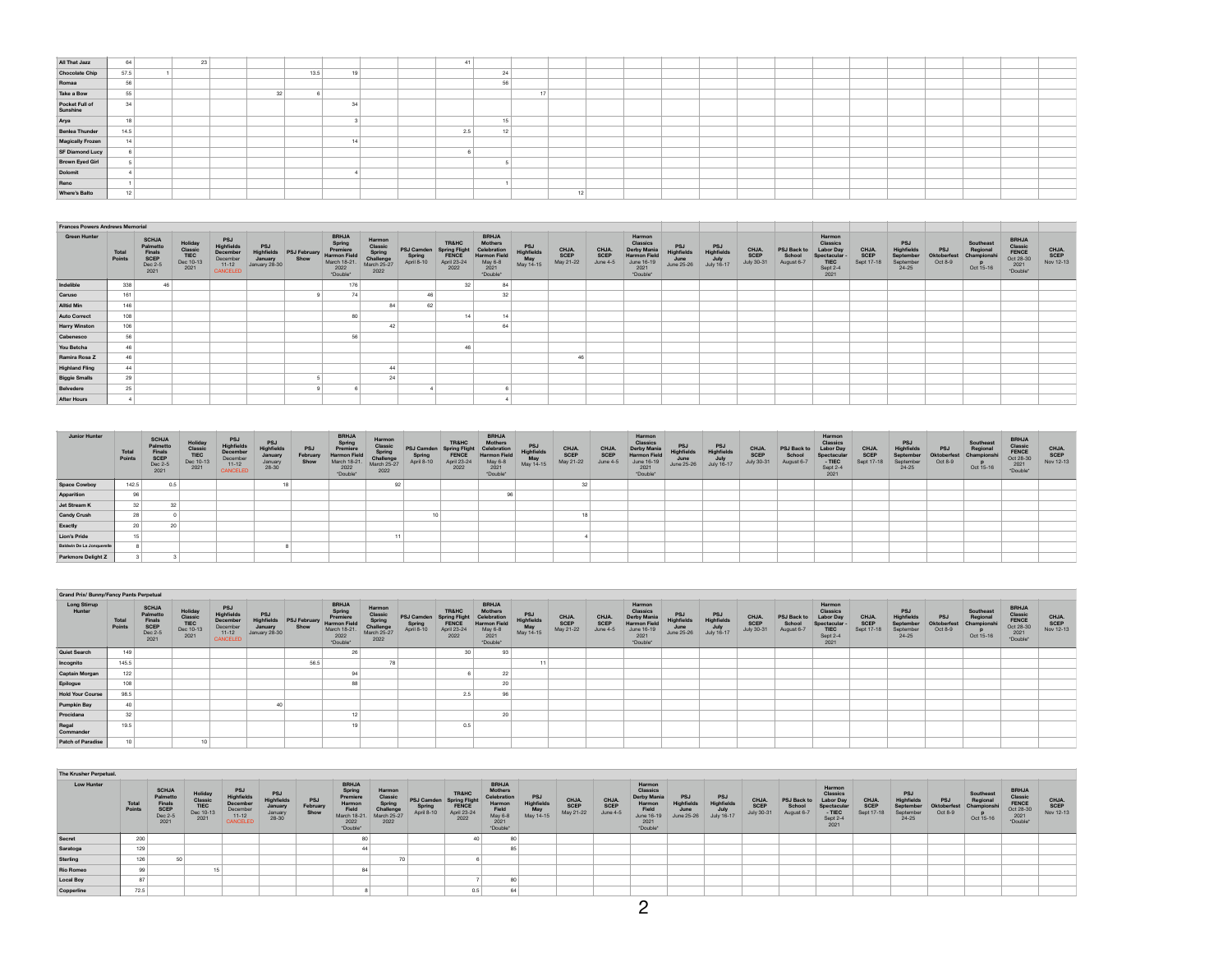| All That Jazz              | 64   | 23 |    |      |  | 41  |  |    |  |  |  |  |  |  |
|----------------------------|------|----|----|------|--|-----|--|----|--|--|--|--|--|--|
|                            |      |    |    |      |  |     |  |    |  |  |  |  |  |  |
| <b>Chocolate Chip</b>      | 57.5 |    |    | 13.5 |  |     |  |    |  |  |  |  |  |  |
| Romaa                      | 56   |    |    |      |  |     |  |    |  |  |  |  |  |  |
| Take a Bow                 | 55   |    | 32 |      |  |     |  |    |  |  |  |  |  |  |
| Pocket Full of<br>Sunshine | 34   |    |    |      |  |     |  |    |  |  |  |  |  |  |
| Arya                       | 18   |    |    |      |  |     |  |    |  |  |  |  |  |  |
| <b>Benlea Thunder</b>      | 14.5 |    |    |      |  | 2.5 |  |    |  |  |  |  |  |  |
| Magically Frozen           | 14   |    |    |      |  |     |  |    |  |  |  |  |  |  |
| SF Diamond Lucy            |      |    |    |      |  |     |  |    |  |  |  |  |  |  |
| Brown Eyed Girl            |      |    |    |      |  |     |  |    |  |  |  |  |  |  |
| Dolomit                    |      |    |    |      |  |     |  |    |  |  |  |  |  |  |
| Reno                       |      |    |    |      |  |     |  |    |  |  |  |  |  |  |
| Where's Balto              | 12   |    |    |      |  |     |  | 12 |  |  |  |  |  |  |

| <b>Frances Powers Andrews Memorial</b> |                 |                                                              |                                                 |                                                                  |                                               |                      |                                                                                               |                                                                |                                    |                                                                          |                                                                                              |                                              |                                   |                           |                                                                                     |                                   |                                         |                             |                                     |                                                                                  |                                    |                                                                 |                                     |                                                         |                                                                   |                            |
|----------------------------------------|-----------------|--------------------------------------------------------------|-------------------------------------------------|------------------------------------------------------------------|-----------------------------------------------|----------------------|-----------------------------------------------------------------------------------------------|----------------------------------------------------------------|------------------------------------|--------------------------------------------------------------------------|----------------------------------------------------------------------------------------------|----------------------------------------------|-----------------------------------|---------------------------|-------------------------------------------------------------------------------------|-----------------------------------|-----------------------------------------|-----------------------------|-------------------------------------|----------------------------------------------------------------------------------|------------------------------------|-----------------------------------------------------------------|-------------------------------------|---------------------------------------------------------|-------------------------------------------------------------------|----------------------------|
| <b>Green Hunter</b>                    | Total<br>Points | <b>SCHJA</b><br>Palmetto<br>Finals<br><b>SCEP</b><br>Dec 2-5 | Holiday<br>Classic<br>TIEC<br>Dec 10-13<br>2021 | PSJ<br>Highfields<br>December<br>December<br>$11.12$<br>CANCELED | PSJ<br>Highfields<br>January<br>January 28-30 | PSJ February<br>Show | <b>BRHJA</b><br>Spring<br>Premiere<br><b>Harmon Field</b><br>March 18-21.<br>2022<br>*Double* | Harmon<br>Classi<br>Spring<br>Challenge<br>March 25-27<br>2022 | PSJ Camden<br>Spring<br>April 8-10 | <b>TR&amp;HC</b><br><b>Spring Flight</b><br>FENCE<br>April 23-24<br>2022 | <b>BRHJA</b><br>Mothers<br>Celebration<br><b>Harmon Field</b><br>May 6-8<br>2021<br>*Double* | <b>PSJ</b><br>Highfields<br>May<br>May 14-15 | CHJA.<br><b>SCEP</b><br>May 21-22 | CHJA.<br>SCEP<br>June 4-5 | Harmon<br>Classics<br>Derby Mania<br>Harmon Field<br>June 16-19<br>2021<br>*Double* | PSJ<br>Highfields<br>$June 25-26$ | PSJ<br>Highfields<br>July<br>July 16-17 | CHJA.<br>SCEP<br>July 30-31 | PSJ Back to<br>School<br>August 6-7 | Harmon<br>Classics<br><b>Labor Day</b><br>Spectacular<br>TIEC<br>Sept 2-<br>2021 | CHJA.<br><b>SCEP</b><br>Sept 17-18 | PSJ<br><b>Highfields</b><br>September<br>September<br>$24 - 25$ | <b>PSJ</b><br>Oktoberfes<br>Oct 8-9 | Southeast<br>Regional<br>Championsh<br>$p$<br>Oct 15-16 | <b>BRHJA</b><br>Classic<br>FENCE<br>Oct 28-30<br>2021<br>*Double* | CHJA.<br>SCEP<br>Nov 12-13 |
| Indelible                              | 338             | 46                                                           |                                                 |                                                                  |                                               |                      | 176                                                                                           |                                                                |                                    | 32                                                                       | 84                                                                                           |                                              |                                   |                           |                                                                                     |                                   |                                         |                             |                                     |                                                                                  |                                    |                                                                 |                                     |                                                         |                                                                   |                            |
| Caruso                                 | 161             |                                                              |                                                 |                                                                  |                                               |                      | 74                                                                                            |                                                                | 46                                 |                                                                          | 32                                                                                           |                                              |                                   |                           |                                                                                     |                                   |                                         |                             |                                     |                                                                                  |                                    |                                                                 |                                     |                                                         |                                                                   |                            |
| <b>Alltid Min</b>                      | 146             |                                                              |                                                 |                                                                  |                                               |                      |                                                                                               |                                                                | 62                                 |                                                                          |                                                                                              |                                              |                                   |                           |                                                                                     |                                   |                                         |                             |                                     |                                                                                  |                                    |                                                                 |                                     |                                                         |                                                                   |                            |
| <b>Auto Correct</b>                    | 108             |                                                              |                                                 |                                                                  |                                               |                      | 80                                                                                            |                                                                |                                    |                                                                          |                                                                                              |                                              |                                   |                           |                                                                                     |                                   |                                         |                             |                                     |                                                                                  |                                    |                                                                 |                                     |                                                         |                                                                   |                            |
| <b>Harry Winston</b>                   | 106             |                                                              |                                                 |                                                                  |                                               |                      |                                                                                               |                                                                |                                    |                                                                          |                                                                                              |                                              |                                   |                           |                                                                                     |                                   |                                         |                             |                                     |                                                                                  |                                    |                                                                 |                                     |                                                         |                                                                   |                            |
| Cabenesco                              | 56              |                                                              |                                                 |                                                                  |                                               |                      | 56                                                                                            |                                                                |                                    |                                                                          |                                                                                              |                                              |                                   |                           |                                                                                     |                                   |                                         |                             |                                     |                                                                                  |                                    |                                                                 |                                     |                                                         |                                                                   |                            |
| You Betcha                             | 46              |                                                              |                                                 |                                                                  |                                               |                      |                                                                                               |                                                                |                                    |                                                                          |                                                                                              |                                              |                                   |                           |                                                                                     |                                   |                                         |                             |                                     |                                                                                  |                                    |                                                                 |                                     |                                                         |                                                                   |                            |
| Ramira Rosa Z                          | 46              |                                                              |                                                 |                                                                  |                                               |                      |                                                                                               |                                                                |                                    |                                                                          |                                                                                              |                                              | 46                                |                           |                                                                                     |                                   |                                         |                             |                                     |                                                                                  |                                    |                                                                 |                                     |                                                         |                                                                   |                            |
| <b>Highland Fling</b>                  | 44              |                                                              |                                                 |                                                                  |                                               |                      |                                                                                               |                                                                |                                    |                                                                          |                                                                                              |                                              |                                   |                           |                                                                                     |                                   |                                         |                             |                                     |                                                                                  |                                    |                                                                 |                                     |                                                         |                                                                   |                            |
| <b>Biggie Smalls</b>                   | 29              |                                                              |                                                 |                                                                  |                                               |                      |                                                                                               | 24                                                             |                                    |                                                                          |                                                                                              |                                              |                                   |                           |                                                                                     |                                   |                                         |                             |                                     |                                                                                  |                                    |                                                                 |                                     |                                                         |                                                                   |                            |
| Belvedere                              | 25              |                                                              |                                                 |                                                                  |                                               |                      |                                                                                               |                                                                |                                    |                                                                          |                                                                                              |                                              |                                   |                           |                                                                                     |                                   |                                         |                             |                                     |                                                                                  |                                    |                                                                 |                                     |                                                         |                                                                   |                            |
| <b>After Hours</b>                     |                 |                                                              |                                                 |                                                                  |                                               |                      |                                                                                               |                                                                |                                    |                                                                          |                                                                                              |                                              |                                   |                           |                                                                                     |                                   |                                         |                             |                                     |                                                                                  |                                    |                                                                 |                                     |                                                         |                                                                   |                            |

| Junior Hunter             | Total<br>Points | <b>SCHJA</b><br>Palmetto<br>Finals<br><b>SCEP</b><br>Dec 2-5<br>2021 | Holiday<br>Classic<br>TIEC<br>Dec 10-13<br>2021 | <b>PSJ</b><br><b>Highfield:</b><br>Decembe<br>December<br>$11 - 12$<br>CANCELED | <b>PSJ</b><br>Highfields<br>January<br>January<br>28-30 | <b>PSJ</b><br>February<br>Show | <b>BRHJA</b><br>Spring<br>Premiere<br><b>Harmon Field</b><br>March 18-21.<br>2022<br>*Double* | Harmon<br>Classic<br>Spring<br>Challenge<br>March 25-27<br>2022 | <b>PSJ Camden</b><br>Spring<br>April 8-10 | <b>TR&amp;HC</b><br><b>Spring Flight</b><br><b>FENCE</b><br>April 23-24<br>2022 | <b>BRHJA</b><br>Mothers<br>Celebration<br><b>Harmon Field</b><br>May 6-8<br>2021<br>"Double" | <b>PSJ</b><br><b>Highfields</b><br>May<br>May 14-15 | <b>CHJA</b><br>SCEP<br>May 21-22 | CHJA.<br>SCEP<br>June 4-5 | Harmon<br>Classic<br>Derby Mania<br><b>Harmon Field</b><br>June 16-19<br>2021<br>*Double* | <b>PSJ</b><br><b>Highfields</b><br>$June 25-26$ | PSJ<br>Highfields<br>July<br>July 16-17 | CHJA<br><b>SCEP</b><br><b>July 30-31</b> | <b>PSJ Back to</b><br>School<br>August 6-7 | Harmon<br><b>Classics</b><br>Labor Day<br>Spectacul<br>$-$ TIEC<br>Sept 2-4<br>2021 | CHJA.<br><b>SCEP</b><br>Sept 17- | <b>PSJ</b><br><b>Highfields</b><br>September<br>September<br>$24 - 25$ | <b>PSJ</b><br>Oktoberfest<br>Oct 8-9 | Southeast<br>Regional<br>Champions<br>Oct 15-16 | <b>BRHJA</b><br><b>Classic</b><br>FENCE<br>Oct 28-30<br>2021<br>"Double" | <b>CHJA</b><br>SCEP<br>Nov 12-13 |
|---------------------------|-----------------|----------------------------------------------------------------------|-------------------------------------------------|---------------------------------------------------------------------------------|---------------------------------------------------------|--------------------------------|-----------------------------------------------------------------------------------------------|-----------------------------------------------------------------|-------------------------------------------|---------------------------------------------------------------------------------|----------------------------------------------------------------------------------------------|-----------------------------------------------------|----------------------------------|---------------------------|-------------------------------------------------------------------------------------------|-------------------------------------------------|-----------------------------------------|------------------------------------------|--------------------------------------------|-------------------------------------------------------------------------------------|----------------------------------|------------------------------------------------------------------------|--------------------------------------|-------------------------------------------------|--------------------------------------------------------------------------|----------------------------------|
| <b>Space Cowboy</b>       | 142.5           | 0.5                                                                  |                                                 |                                                                                 |                                                         |                                |                                                                                               |                                                                 |                                           |                                                                                 |                                                                                              |                                                     |                                  |                           |                                                                                           |                                                 |                                         |                                          |                                            |                                                                                     |                                  |                                                                        |                                      |                                                 |                                                                          |                                  |
| Apparition                |                 |                                                                      |                                                 |                                                                                 |                                                         |                                |                                                                                               |                                                                 |                                           |                                                                                 | 96                                                                                           |                                                     |                                  |                           |                                                                                           |                                                 |                                         |                                          |                                            |                                                                                     |                                  |                                                                        |                                      |                                                 |                                                                          |                                  |
| Jet Stream K              | 32              |                                                                      |                                                 |                                                                                 |                                                         |                                |                                                                                               |                                                                 |                                           |                                                                                 |                                                                                              |                                                     |                                  |                           |                                                                                           |                                                 |                                         |                                          |                                            |                                                                                     |                                  |                                                                        |                                      |                                                 |                                                                          |                                  |
| <b>Candy Crush</b>        |                 |                                                                      |                                                 |                                                                                 |                                                         |                                |                                                                                               |                                                                 |                                           |                                                                                 |                                                                                              |                                                     |                                  |                           |                                                                                           |                                                 |                                         |                                          |                                            |                                                                                     |                                  |                                                                        |                                      |                                                 |                                                                          |                                  |
| Exactly                   |                 |                                                                      |                                                 |                                                                                 |                                                         |                                |                                                                                               |                                                                 |                                           |                                                                                 |                                                                                              |                                                     |                                  |                           |                                                                                           |                                                 |                                         |                                          |                                            |                                                                                     |                                  |                                                                        |                                      |                                                 |                                                                          |                                  |
| Lion's Pride              |                 |                                                                      |                                                 |                                                                                 |                                                         |                                |                                                                                               |                                                                 |                                           |                                                                                 |                                                                                              |                                                     |                                  |                           |                                                                                           |                                                 |                                         |                                          |                                            |                                                                                     |                                  |                                                                        |                                      |                                                 |                                                                          |                                  |
| Baldwin De La Jonquerelle |                 |                                                                      |                                                 |                                                                                 |                                                         |                                |                                                                                               |                                                                 |                                           |                                                                                 |                                                                                              |                                                     |                                  |                           |                                                                                           |                                                 |                                         |                                          |                                            |                                                                                     |                                  |                                                                        |                                      |                                                 |                                                                          |                                  |
| Parkmore Delight Z        |                 |                                                                      |                                                 |                                                                                 |                                                         |                                |                                                                                               |                                                                 |                                           |                                                                                 |                                                                                              |                                                     |                                  |                           |                                                                                           |                                                 |                                         |                                          |                                            |                                                                                     |                                  |                                                                        |                                      |                                                 |                                                                          |                                  |

| Grand Prix/ Bunny/Fancy Pants Perpetual |                 |                                                               |                                                        |                                                                           |                                                      |                             |                                                                                              |                                                                |                                   |                                                                                 |                                                                                                     |                                              |                                   |                           |                                                                                            |                                                |                                                      |                            |                                     |                                                                                          |                                    |                                                                 |                                      |                                                   |                                                                   |                            |
|-----------------------------------------|-----------------|---------------------------------------------------------------|--------------------------------------------------------|---------------------------------------------------------------------------|------------------------------------------------------|-----------------------------|----------------------------------------------------------------------------------------------|----------------------------------------------------------------|-----------------------------------|---------------------------------------------------------------------------------|-----------------------------------------------------------------------------------------------------|----------------------------------------------|-----------------------------------|---------------------------|--------------------------------------------------------------------------------------------|------------------------------------------------|------------------------------------------------------|----------------------------|-------------------------------------|------------------------------------------------------------------------------------------|------------------------------------|-----------------------------------------------------------------|--------------------------------------|---------------------------------------------------|-------------------------------------------------------------------|----------------------------|
| <b>Long Stirrup</b><br>Hunter           | Total<br>Points | <b>SCHJA</b><br>Palmetto<br>Finals<br>SCEP<br>Dec 2-5<br>2021 | <b>Holiday</b><br>Classic<br>TIEC<br>Dec 10-13<br>2021 | <b>PSJ</b><br>Highfields<br>December<br>December<br>$11 - 12$<br>CANCELED | <b>PSJ</b><br>Highfields<br>January<br>January 28-30 | <b>PSJ February</b><br>Show | <b>BRHJA</b><br>Spring<br>Premiere<br><b>Harmon Field</b><br>March 18-21<br>2022<br>*Double* | Harmor<br>Classi<br>Spring<br>Challenge<br>March 25-27<br>2022 | PSJ Camden<br>Spring<br>April 8-1 | <b>TR&amp;HC</b><br><b>Spring Flight</b><br><b>FENCE</b><br>April 23-24<br>2022 | <b>BRHJA</b><br><b>Mothers</b><br>Celebration<br><b>Harmon Field</b><br>May 6-8<br>2021<br>*Double* | PSJ<br><b>Highfields</b><br>May<br>May 14-15 | CHJA.<br><b>SCEP</b><br>May 21-22 | CHJA.<br>SCEP<br>June 4-5 | Harmon<br>Classics<br>Derby Mania<br><b>Harmon Field</b><br>June 16-19<br>2021<br>*Double* | PSJ<br><b>Highfields</b><br>June<br>June 25-26 | <b>PSJ</b><br>Highfield<br>July<br><b>July 16-17</b> | CHJA<br>SCEP<br>July 30-31 | PSJ Back to<br>School<br>August 6-7 | Harmon<br>Classics<br><b>Labor Day</b><br>Spectacular<br><b>TIEC</b><br>Sept 2-4<br>2021 | CHJA.<br><b>SCEP</b><br>Sept 17-18 | <b>PSJ</b><br>Highfields<br>September<br>September<br>$24 - 25$ | <b>PSJ</b><br>Oktoberfest<br>Oct 8-9 | Southeast<br>Regional<br>Championshi<br>Oct 15-16 | <b>BRHJA</b><br>Classic<br>FENCE<br>Oct 28-30<br>2021<br>*Double* | CHJA.<br>SCEP<br>Nov 12-13 |
| <b>Quiet Search</b>                     | 149             |                                                               |                                                        |                                                                           |                                                      |                             | 26                                                                                           |                                                                |                                   | 30                                                                              | 93                                                                                                  |                                              |                                   |                           |                                                                                            |                                                |                                                      |                            |                                     |                                                                                          |                                    |                                                                 |                                      |                                                   |                                                                   |                            |
| Incognito                               | 145.5           |                                                               |                                                        |                                                                           |                                                      | 56.5                        |                                                                                              |                                                                |                                   |                                                                                 |                                                                                                     |                                              |                                   |                           |                                                                                            |                                                |                                                      |                            |                                     |                                                                                          |                                    |                                                                 |                                      |                                                   |                                                                   |                            |
| Captain Morgan                          | 122             |                                                               |                                                        |                                                                           |                                                      |                             |                                                                                              |                                                                |                                   |                                                                                 |                                                                                                     |                                              |                                   |                           |                                                                                            |                                                |                                                      |                            |                                     |                                                                                          |                                    |                                                                 |                                      |                                                   |                                                                   |                            |
| Epilogue                                | 108             |                                                               |                                                        |                                                                           |                                                      |                             |                                                                                              |                                                                |                                   |                                                                                 |                                                                                                     |                                              |                                   |                           |                                                                                            |                                                |                                                      |                            |                                     |                                                                                          |                                    |                                                                 |                                      |                                                   |                                                                   |                            |
| <b>Hold Your Course</b>                 | 98.5            |                                                               |                                                        |                                                                           |                                                      |                             |                                                                                              |                                                                |                                   | 2.5                                                                             | 96                                                                                                  |                                              |                                   |                           |                                                                                            |                                                |                                                      |                            |                                     |                                                                                          |                                    |                                                                 |                                      |                                                   |                                                                   |                            |
| <b>Pumpkin Bay</b>                      | 40              |                                                               |                                                        |                                                                           |                                                      |                             |                                                                                              |                                                                |                                   |                                                                                 |                                                                                                     |                                              |                                   |                           |                                                                                            |                                                |                                                      |                            |                                     |                                                                                          |                                    |                                                                 |                                      |                                                   |                                                                   |                            |
| Procidana                               | 32              |                                                               |                                                        |                                                                           |                                                      |                             |                                                                                              |                                                                |                                   |                                                                                 | 20                                                                                                  |                                              |                                   |                           |                                                                                            |                                                |                                                      |                            |                                     |                                                                                          |                                    |                                                                 |                                      |                                                   |                                                                   |                            |
| Regal<br>Commander                      | 19.5            |                                                               |                                                        |                                                                           |                                                      |                             |                                                                                              |                                                                |                                   | 0.5                                                                             |                                                                                                     |                                              |                                   |                           |                                                                                            |                                                |                                                      |                            |                                     |                                                                                          |                                    |                                                                 |                                      |                                                   |                                                                   |                            |
| <b>Patch of Paradise</b>                |                 |                                                               |                                                        |                                                                           |                                                      |                             |                                                                                              |                                                                |                                   |                                                                                 |                                                                                                     |                                              |                                   |                           |                                                                                            |                                                |                                                      |                            |                                     |                                                                                          |                                    |                                                                 |                                      |                                                   |                                                                   |                            |

| The Krusher Perpetual. |                 |                                                               |                                                 |                                                                           |                                                                |                                |                                                                                          |                                                                 |                                           |                                                                  |                                                                                                 |                                              |                            |                           |                                                                                               |                                                 |                                                              |                                          |                                    |                                                                                           |                                   |                                                                 |                                     |                                                 |                                                                          |                                    |
|------------------------|-----------------|---------------------------------------------------------------|-------------------------------------------------|---------------------------------------------------------------------------|----------------------------------------------------------------|--------------------------------|------------------------------------------------------------------------------------------|-----------------------------------------------------------------|-------------------------------------------|------------------------------------------------------------------|-------------------------------------------------------------------------------------------------|----------------------------------------------|----------------------------|---------------------------|-----------------------------------------------------------------------------------------------|-------------------------------------------------|--------------------------------------------------------------|------------------------------------------|------------------------------------|-------------------------------------------------------------------------------------------|-----------------------------------|-----------------------------------------------------------------|-------------------------------------|-------------------------------------------------|--------------------------------------------------------------------------|------------------------------------|
| <b>Low Hunter</b>      | Total<br>Points | <b>SCHJA</b><br>Palmetto<br>Finals<br>SCEP<br>Dec 2-5<br>2021 | Holiday<br>Classic<br>TIEC<br>Dec 10-13<br>2021 | <b>PSJ</b><br>Highfields<br>December<br>December<br>$11 - 12$<br>CANCELED | <b>PSJ</b><br><b>Highfields</b><br>January<br>January<br>28-30 | <b>PSJ</b><br>February<br>Show | <b>BRHJA</b><br>Spring<br>Premiere<br>Harmon<br>Field<br>March 18-21<br>2022<br>*Double* | Harmon<br>Classic<br>Spring<br>Challenge<br>March 25-27<br>2022 | <b>PSJ Camden</b><br>Spring<br>April 8-10 | <b>TR&amp;HC</b><br>Spring Fligh<br>FENCE<br>April 23-24<br>2022 | <b>BRHJA</b><br><b>Mothers</b><br>Celebration<br>Harmor<br>Field<br>May 6-8<br>2021<br>*Double* | <b>PSJ</b><br>Highfields<br>May<br>May 14-15 | CHJA.<br>SCEP<br>May 21-22 | CHJA.<br>SCEP<br>June 4-5 | Harmon<br>Classics<br><b>Derby Mania</b><br>Harmon<br>Field<br>June 16-19<br>2021<br>*Double* | <b>PSJ</b><br><b>Highfields</b><br>$June 25-26$ | <b>PSJ</b><br><b>Highfield:</b><br>July<br><b>July 16-17</b> | <b>CHJA</b><br><b>SCEP</b><br>July 30-31 | PSJ Back to<br>School<br>August 6- | Harmon<br><b>Classics</b><br><b>Labor Dav</b><br>Spectacula<br>- TIEC<br>Sept 2-4<br>2021 | <b>CHJA</b><br>SCEP<br>Sept 17-18 | PSJ<br><b>Highfields</b><br>September<br>September<br>$24 - 25$ | <b>PSJ</b><br>Oktoberfes<br>Oct 8-9 | Southeast<br>Regiona<br>Championsh<br>Oct 15-16 | <b>BRHJA</b><br>Classic<br><b>FENCE</b><br>Oct 28-30<br>2021<br>*Double* | <b>CHJA.<br/>SCEP</b><br>Nov 12-13 |
| Secret                 | 200             |                                                               |                                                 |                                                                           |                                                                |                                |                                                                                          |                                                                 |                                           |                                                                  |                                                                                                 |                                              |                            |                           |                                                                                               |                                                 |                                                              |                                          |                                    |                                                                                           |                                   |                                                                 |                                     |                                                 |                                                                          |                                    |
| Saratoga               | 129             |                                                               |                                                 |                                                                           |                                                                |                                |                                                                                          |                                                                 |                                           |                                                                  |                                                                                                 |                                              |                            |                           |                                                                                               |                                                 |                                                              |                                          |                                    |                                                                                           |                                   |                                                                 |                                     |                                                 |                                                                          |                                    |
| Sterling               | 126             |                                                               |                                                 |                                                                           |                                                                |                                |                                                                                          |                                                                 |                                           |                                                                  |                                                                                                 |                                              |                            |                           |                                                                                               |                                                 |                                                              |                                          |                                    |                                                                                           |                                   |                                                                 |                                     |                                                 |                                                                          |                                    |
| <b>Rio Romeo</b>       | 99              |                                                               |                                                 |                                                                           |                                                                |                                |                                                                                          |                                                                 |                                           |                                                                  |                                                                                                 |                                              |                            |                           |                                                                                               |                                                 |                                                              |                                          |                                    |                                                                                           |                                   |                                                                 |                                     |                                                 |                                                                          |                                    |
| <b>Local Boy</b>       | 87              |                                                               |                                                 |                                                                           |                                                                |                                |                                                                                          |                                                                 |                                           |                                                                  |                                                                                                 |                                              |                            |                           |                                                                                               |                                                 |                                                              |                                          |                                    |                                                                                           |                                   |                                                                 |                                     |                                                 |                                                                          |                                    |
| Copperline             | 72.5            |                                                               |                                                 |                                                                           |                                                                |                                |                                                                                          |                                                                 |                                           | 0.5                                                              | 64                                                                                              |                                              |                            |                           |                                                                                               |                                                 |                                                              |                                          |                                    |                                                                                           |                                   |                                                                 |                                     |                                                 |                                                                          |                                    |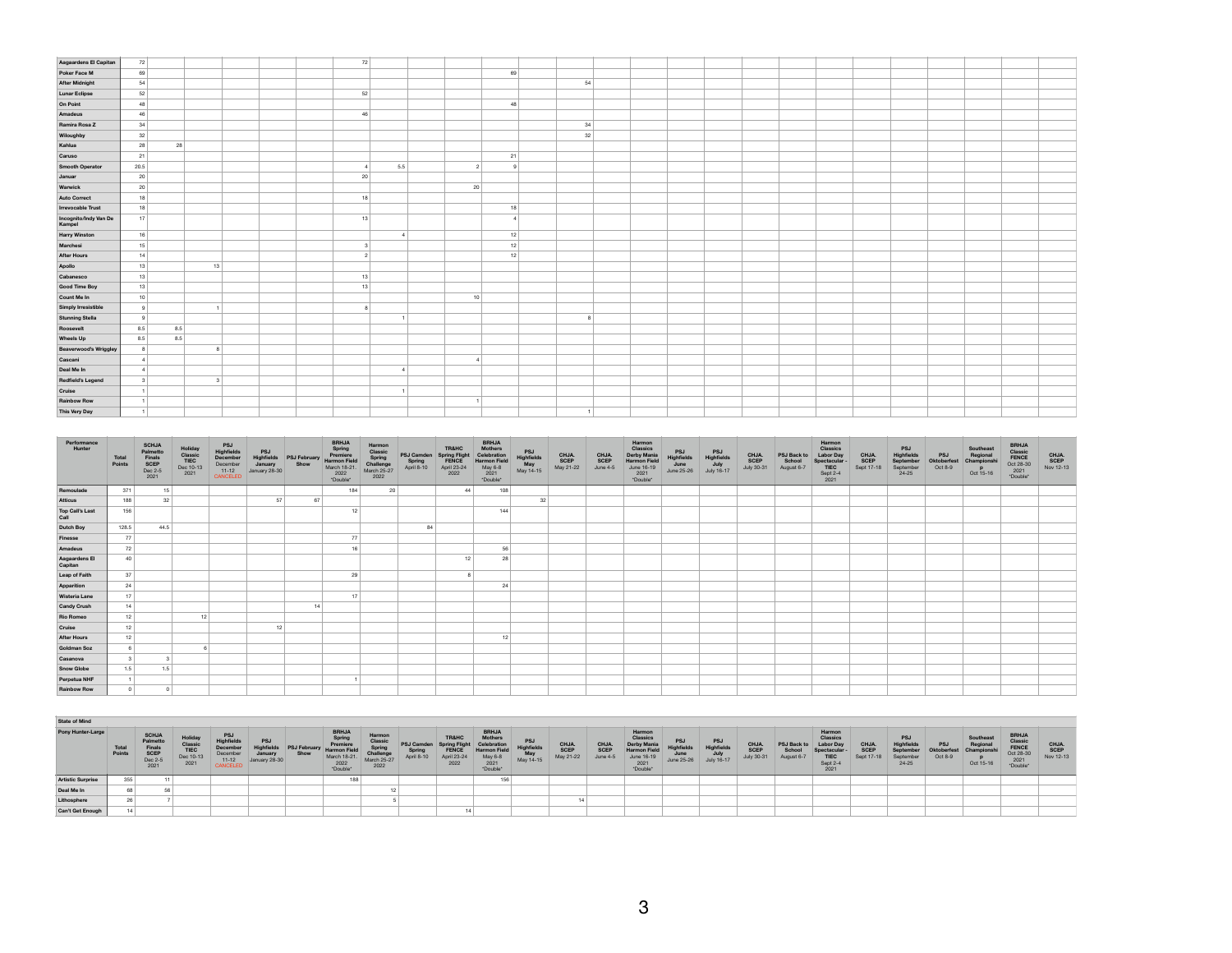| Aagaardens El Capitan           | 72             |     |               |  | 72             |              |    |              |    |  |  |  |  |  |  |  |
|---------------------------------|----------------|-----|---------------|--|----------------|--------------|----|--------------|----|--|--|--|--|--|--|--|
| Poker Face M                    | 69             |     |               |  |                |              |    | 69           |    |  |  |  |  |  |  |  |
| <b>After Midnight</b>           | 54             |     |               |  |                |              |    |              | 54 |  |  |  |  |  |  |  |
| <b>Lunar Eclipse</b>            | 52             |     |               |  | 52             |              |    |              |    |  |  |  |  |  |  |  |
| On Point                        | 48             |     |               |  |                |              |    | 48           |    |  |  |  |  |  |  |  |
| Amadeus                         | 46             |     |               |  | 46             |              |    |              |    |  |  |  |  |  |  |  |
| Ramira Rosa Z                   | 34             |     |               |  |                |              |    |              | 34 |  |  |  |  |  |  |  |
| Wiloughby                       | 32             |     |               |  |                |              |    |              | 32 |  |  |  |  |  |  |  |
| Kahlua                          | 28             | 28  |               |  |                |              |    |              |    |  |  |  |  |  |  |  |
| Caruso                          | 21             |     |               |  |                |              |    | 21           |    |  |  |  |  |  |  |  |
| <b>Smooth Operator</b>          | 20.5           |     |               |  |                | 5.5          |    |              |    |  |  |  |  |  |  |  |
| Januar                          | 20             |     |               |  | 20             |              |    |              |    |  |  |  |  |  |  |  |
| Warwick                         | 20             |     |               |  |                |              | 20 |              |    |  |  |  |  |  |  |  |
| <b>Auto Correct</b>             | 18             |     |               |  | 18             |              |    |              |    |  |  |  |  |  |  |  |
| <b>Irrevocable Trust</b>        | 18             |     |               |  |                |              |    | 18           |    |  |  |  |  |  |  |  |
| Incognito/Indy Van De<br>Kampel | 17             |     |               |  | 13             |              |    | $\mathbf{4}$ |    |  |  |  |  |  |  |  |
| <b>Harry Winston</b>            | 16             |     |               |  |                | $\mathbf{d}$ |    | 12           |    |  |  |  |  |  |  |  |
| Marchesi                        | 15             |     |               |  | $\mathbf{3}$   |              |    | 12           |    |  |  |  |  |  |  |  |
| <b>After Hours</b>              | 14             |     |               |  | 2 <sup>1</sup> |              |    | 12           |    |  |  |  |  |  |  |  |
| Apollo                          | 13             |     | 13            |  |                |              |    |              |    |  |  |  |  |  |  |  |
| Cabanesco                       | 13             |     |               |  | 13             |              |    |              |    |  |  |  |  |  |  |  |
| <b>Good Time Boy</b>            | 13             |     |               |  | 13             |              |    |              |    |  |  |  |  |  |  |  |
| Count Me In                     | 10             |     |               |  |                |              | 10 |              |    |  |  |  |  |  |  |  |
| Simply Irresistible             | 9              |     |               |  |                |              |    |              |    |  |  |  |  |  |  |  |
| <b>Stunning Stella</b>          | $\mathbf{q}$   |     |               |  |                |              |    |              |    |  |  |  |  |  |  |  |
| Roosevelt                       | 8.5            | 8.5 |               |  |                |              |    |              |    |  |  |  |  |  |  |  |
| Wheels Up                       | 8.5            | 8.5 |               |  |                |              |    |              |    |  |  |  |  |  |  |  |
| <b>Beaverwood's Wriggley</b>    | 8              |     |               |  |                |              |    |              |    |  |  |  |  |  |  |  |
| Cascani                         | $\mathbf{d}$   |     |               |  |                |              |    |              |    |  |  |  |  |  |  |  |
| Deal Me In                      | $\overline{a}$ |     |               |  |                | $\mathbf{4}$ |    |              |    |  |  |  |  |  |  |  |
| <b>Redfield's Legend</b>        | 3              |     | $\mathcal{R}$ |  |                |              |    |              |    |  |  |  |  |  |  |  |
| Cruise                          |                |     |               |  |                |              |    |              |    |  |  |  |  |  |  |  |
| <b>Rainbow Row</b>              |                |     |               |  |                |              |    |              |    |  |  |  |  |  |  |  |
| This Very Day                   |                |     |               |  |                |              |    |              |    |  |  |  |  |  |  |  |

| Performance<br>Hunter    | Total<br>Points | <b>SCHJA</b><br>Palmetto<br>Finals<br>SCEP<br>Dec 2-5<br>2021 | Holiday<br>Classic<br>TIEC<br>Dec 10-13<br>2021 | <b>PSJ</b><br>Highfields<br>December<br>December<br>11-12<br>CANCELED | PSJ<br>Highfields<br>January<br>January 28-30 | <b>PSJ February</b><br>Show | <b>BRHJA<br/>Spring<br/>Premiere</b><br>Harmon Field<br>March 18-21.<br>2022<br>*Double* | Harmon<br><b>Classic</b><br>Spring<br>Challenge<br>March 25-27<br>2022 | PSJ Camder<br>Spring<br>April 8-10 | TR&HC<br>Spring Fligh<br>FENCE<br>April 23-24<br>2022 | <b>BRHJA</b><br>Mothers<br>Celebration<br>Harmon Field<br>May 6-8<br>2021<br>Double* | PSJ<br>Highfields<br>May<br>May 14-15 | CHJA.<br>SCEP<br>May 21-22 | CHJA.<br>SCEP<br>June 4-5 | Harmon<br><b>Classics</b><br>Derby Mania<br>Harmon Field<br>June 16-19<br>2021<br>"Double" | PSJ<br>Highfields<br>$June 25-26$ | PSJ<br>Highfields<br>July<br>July 16-17 | CHJA.<br>SCEP<br>July 30-31 | PSJ Back 1<br>School<br>August 6-7 | Harmon<br>Classics<br><b>Labor Day</b><br>Spectacular<br>TIEC<br>Sept 2-4<br>2021 | CHJA.<br>SCEP<br>Sept 17-18 | <b>PSJ</b><br>Highfields<br>September<br>September<br>24-25 | <b>PSJ</b><br>Oktoberfest<br>Oct 8-9 | Southeast<br>Regional<br>Championshi<br>$p$<br>Oct 15-16 | <b>BRHJA</b><br><b>Classic</b><br>FENCE<br>Oct 28-30<br>2021<br>*Double* | CHJA.<br>SCEP<br>Nov 12-13 |
|--------------------------|-----------------|---------------------------------------------------------------|-------------------------------------------------|-----------------------------------------------------------------------|-----------------------------------------------|-----------------------------|------------------------------------------------------------------------------------------|------------------------------------------------------------------------|------------------------------------|-------------------------------------------------------|--------------------------------------------------------------------------------------|---------------------------------------|----------------------------|---------------------------|--------------------------------------------------------------------------------------------|-----------------------------------|-----------------------------------------|-----------------------------|------------------------------------|-----------------------------------------------------------------------------------|-----------------------------|-------------------------------------------------------------|--------------------------------------|----------------------------------------------------------|--------------------------------------------------------------------------|----------------------------|
| Remoulade                | 371             | 15                                                            |                                                 |                                                                       |                                               |                             | 184                                                                                      | 20                                                                     |                                    | 44                                                    | 108                                                                                  |                                       |                            |                           |                                                                                            |                                   |                                         |                             |                                    |                                                                                   |                             |                                                             |                                      |                                                          |                                                                          |                            |
| Atticus                  | 188             | 32                                                            |                                                 |                                                                       | 57                                            | 67                          |                                                                                          |                                                                        |                                    |                                                       |                                                                                      | 32                                    |                            |                           |                                                                                            |                                   |                                         |                             |                                    |                                                                                   |                             |                                                             |                                      |                                                          |                                                                          |                            |
| Top Call's Last<br>Call  | 156             |                                                               |                                                 |                                                                       |                                               |                             | 12                                                                                       |                                                                        |                                    |                                                       | 144                                                                                  |                                       |                            |                           |                                                                                            |                                   |                                         |                             |                                    |                                                                                   |                             |                                                             |                                      |                                                          |                                                                          |                            |
| Dutch Boy                | 128.5           | 44.5                                                          |                                                 |                                                                       |                                               |                             |                                                                                          |                                                                        | 84                                 |                                                       |                                                                                      |                                       |                            |                           |                                                                                            |                                   |                                         |                             |                                    |                                                                                   |                             |                                                             |                                      |                                                          |                                                                          |                            |
| Finesse                  | 77              |                                                               |                                                 |                                                                       |                                               |                             | 77                                                                                       |                                                                        |                                    |                                                       |                                                                                      |                                       |                            |                           |                                                                                            |                                   |                                         |                             |                                    |                                                                                   |                             |                                                             |                                      |                                                          |                                                                          |                            |
| Amadeus                  | 72              |                                                               |                                                 |                                                                       |                                               |                             | 16                                                                                       |                                                                        |                                    |                                                       | 56                                                                                   |                                       |                            |                           |                                                                                            |                                   |                                         |                             |                                    |                                                                                   |                             |                                                             |                                      |                                                          |                                                                          |                            |
| Aagaardens El<br>Capitan | 40 <sub>1</sub> |                                                               |                                                 |                                                                       |                                               |                             |                                                                                          |                                                                        |                                    | 12                                                    | 28                                                                                   |                                       |                            |                           |                                                                                            |                                   |                                         |                             |                                    |                                                                                   |                             |                                                             |                                      |                                                          |                                                                          |                            |
| Leap of Faith            | 37              |                                                               |                                                 |                                                                       |                                               |                             | 29                                                                                       |                                                                        |                                    |                                                       |                                                                                      |                                       |                            |                           |                                                                                            |                                   |                                         |                             |                                    |                                                                                   |                             |                                                             |                                      |                                                          |                                                                          |                            |
| Apparition               | 24              |                                                               |                                                 |                                                                       |                                               |                             |                                                                                          |                                                                        |                                    |                                                       | 24                                                                                   |                                       |                            |                           |                                                                                            |                                   |                                         |                             |                                    |                                                                                   |                             |                                                             |                                      |                                                          |                                                                          |                            |
| Wisteria Lane            | 17              |                                                               |                                                 |                                                                       |                                               |                             | 17                                                                                       |                                                                        |                                    |                                                       |                                                                                      |                                       |                            |                           |                                                                                            |                                   |                                         |                             |                                    |                                                                                   |                             |                                                             |                                      |                                                          |                                                                          |                            |
| <b>Candy Crush</b>       | 14              |                                                               |                                                 |                                                                       |                                               | 14                          |                                                                                          |                                                                        |                                    |                                                       |                                                                                      |                                       |                            |                           |                                                                                            |                                   |                                         |                             |                                    |                                                                                   |                             |                                                             |                                      |                                                          |                                                                          |                            |
| <b>Rio Romeo</b>         | 12              |                                                               | 12                                              |                                                                       |                                               |                             |                                                                                          |                                                                        |                                    |                                                       |                                                                                      |                                       |                            |                           |                                                                                            |                                   |                                         |                             |                                    |                                                                                   |                             |                                                             |                                      |                                                          |                                                                          |                            |
| Cruise                   | 12              |                                                               |                                                 |                                                                       | 12                                            |                             |                                                                                          |                                                                        |                                    |                                                       |                                                                                      |                                       |                            |                           |                                                                                            |                                   |                                         |                             |                                    |                                                                                   |                             |                                                             |                                      |                                                          |                                                                          |                            |
| <b>After Hours</b>       | 12              |                                                               |                                                 |                                                                       |                                               |                             |                                                                                          |                                                                        |                                    |                                                       | 12                                                                                   |                                       |                            |                           |                                                                                            |                                   |                                         |                             |                                    |                                                                                   |                             |                                                             |                                      |                                                          |                                                                          |                            |
| Goldman Soz              |                 |                                                               |                                                 |                                                                       |                                               |                             |                                                                                          |                                                                        |                                    |                                                       |                                                                                      |                                       |                            |                           |                                                                                            |                                   |                                         |                             |                                    |                                                                                   |                             |                                                             |                                      |                                                          |                                                                          |                            |
| Casanova                 |                 |                                                               |                                                 |                                                                       |                                               |                             |                                                                                          |                                                                        |                                    |                                                       |                                                                                      |                                       |                            |                           |                                                                                            |                                   |                                         |                             |                                    |                                                                                   |                             |                                                             |                                      |                                                          |                                                                          |                            |
| <b>Snow Globe</b>        | 1.5             | 1.5                                                           |                                                 |                                                                       |                                               |                             |                                                                                          |                                                                        |                                    |                                                       |                                                                                      |                                       |                            |                           |                                                                                            |                                   |                                         |                             |                                    |                                                                                   |                             |                                                             |                                      |                                                          |                                                                          |                            |
| Perpetua NHF             |                 |                                                               |                                                 |                                                                       |                                               |                             |                                                                                          |                                                                        |                                    |                                                       |                                                                                      |                                       |                            |                           |                                                                                            |                                   |                                         |                             |                                    |                                                                                   |                             |                                                             |                                      |                                                          |                                                                          |                            |
| <b>Rainbow Row</b>       |                 | $\Omega$                                                      |                                                 |                                                                       |                                               |                             |                                                                                          |                                                                        |                                    |                                                       |                                                                                      |                                       |                            |                           |                                                                                            |                                   |                                         |                             |                                    |                                                                                   |                             |                                                             |                                      |                                                          |                                                                          |                            |

| <b>State of Mind</b>     |                 |                                                        |                                                 |                                                                                  |                                               |                      |                                                                                               |                                                               |                                   |                                                                   |                                                                                              |                                      |                                   |                           |                                                                                           |                                         |                                         |                             |                                     |                                                                                                |                                    |                                                                        |                                      |                                                  |                                                                   |                                  |
|--------------------------|-----------------|--------------------------------------------------------|-------------------------------------------------|----------------------------------------------------------------------------------|-----------------------------------------------|----------------------|-----------------------------------------------------------------------------------------------|---------------------------------------------------------------|-----------------------------------|-------------------------------------------------------------------|----------------------------------------------------------------------------------------------|--------------------------------------|-----------------------------------|---------------------------|-------------------------------------------------------------------------------------------|-----------------------------------------|-----------------------------------------|-----------------------------|-------------------------------------|------------------------------------------------------------------------------------------------|------------------------------------|------------------------------------------------------------------------|--------------------------------------|--------------------------------------------------|-------------------------------------------------------------------|----------------------------------|
| Pony Hunter-Large        | Total<br>Points | SCHJA<br>Palmetto<br>Finals<br>SCEP<br>Dec 2-5<br>2021 | Holiday<br>Classic<br>TIEC<br>Dec 10-1:<br>2021 | <b>PSJ</b><br>Highfields<br>December<br>December<br>$11 - 12$<br><b>CANCELED</b> | PSJ<br>Highfields<br>January<br>January 28-30 | PSJ February<br>Show | <b>BRHJA</b><br>Spring<br>Premiere<br><b>Harmon Field</b><br>March 18-21.<br>2022<br>*Double* | Harmon<br>Class<br>Spring<br>Challenge<br>March 25-27<br>2022 | PSJ Camden<br>Spring<br>1-8 April | <b>TR&amp;HC</b><br>Spring Flight<br>FENCE<br>April 23-24<br>2022 | <b>BRHJA</b><br>Mothers<br>Celebration<br><b>Harmon Field</b><br>May 6-8<br>2021<br>*Double* | PSJ<br>Highfield<br>May<br>May 14-15 | CHJA.<br><b>SCEP</b><br>May 21-22 | CHJA.<br>SCEP<br>June 4-5 | Harmon<br>Classic<br>Derby Mania<br><b>Harmon Field</b><br>June 16-19<br>2021<br>*Double* | PSJ<br>Highfields<br>June<br>June 25-26 | PSJ<br>Highfields<br>July<br>July 16-17 | CHJA.<br>SCEP<br>July 30-31 | PSJ Back to<br>School<br>August 6-7 | Harmon<br>Classics<br><b>Labor Day</b><br><b>Spectacula</b><br><b>TIEC</b><br>Sept 2-4<br>2021 | CHJA.<br><b>SCEP</b><br>Sept 17-18 | <b>PSJ</b><br><b>Highfields</b><br>September<br>September<br>$24 - 25$ | <b>PSJ</b><br>Oktoberfest<br>Oct 8-9 | Southeast<br>Regional<br>Championsh<br>Oct 15-16 | <b>BRHJA</b><br>Classic<br>FENCE<br>Oct 28-30<br>2021<br>"Double" | <b>CHJA</b><br>SCEP<br>Nov 12-13 |
| <b>Artistic Surprise</b> | 355             |                                                        |                                                 |                                                                                  |                                               |                      | 188                                                                                           |                                                               |                                   |                                                                   |                                                                                              |                                      |                                   |                           |                                                                                           |                                         |                                         |                             |                                     |                                                                                                |                                    |                                                                        |                                      |                                                  |                                                                   |                                  |
| Deal Me In               | 68              | 56                                                     |                                                 |                                                                                  |                                               |                      |                                                                                               |                                                               |                                   |                                                                   |                                                                                              |                                      |                                   |                           |                                                                                           |                                         |                                         |                             |                                     |                                                                                                |                                    |                                                                        |                                      |                                                  |                                                                   |                                  |
| Lithosphere              | 26              |                                                        |                                                 |                                                                                  |                                               |                      |                                                                                               |                                                               |                                   |                                                                   |                                                                                              |                                      |                                   |                           |                                                                                           |                                         |                                         |                             |                                     |                                                                                                |                                    |                                                                        |                                      |                                                  |                                                                   |                                  |
| Can't Get Enough         | 14              |                                                        |                                                 |                                                                                  |                                               |                      |                                                                                               |                                                               |                                   |                                                                   |                                                                                              |                                      |                                   |                           |                                                                                           |                                         |                                         |                             |                                     |                                                                                                |                                    |                                                                        |                                      |                                                  |                                                                   |                                  |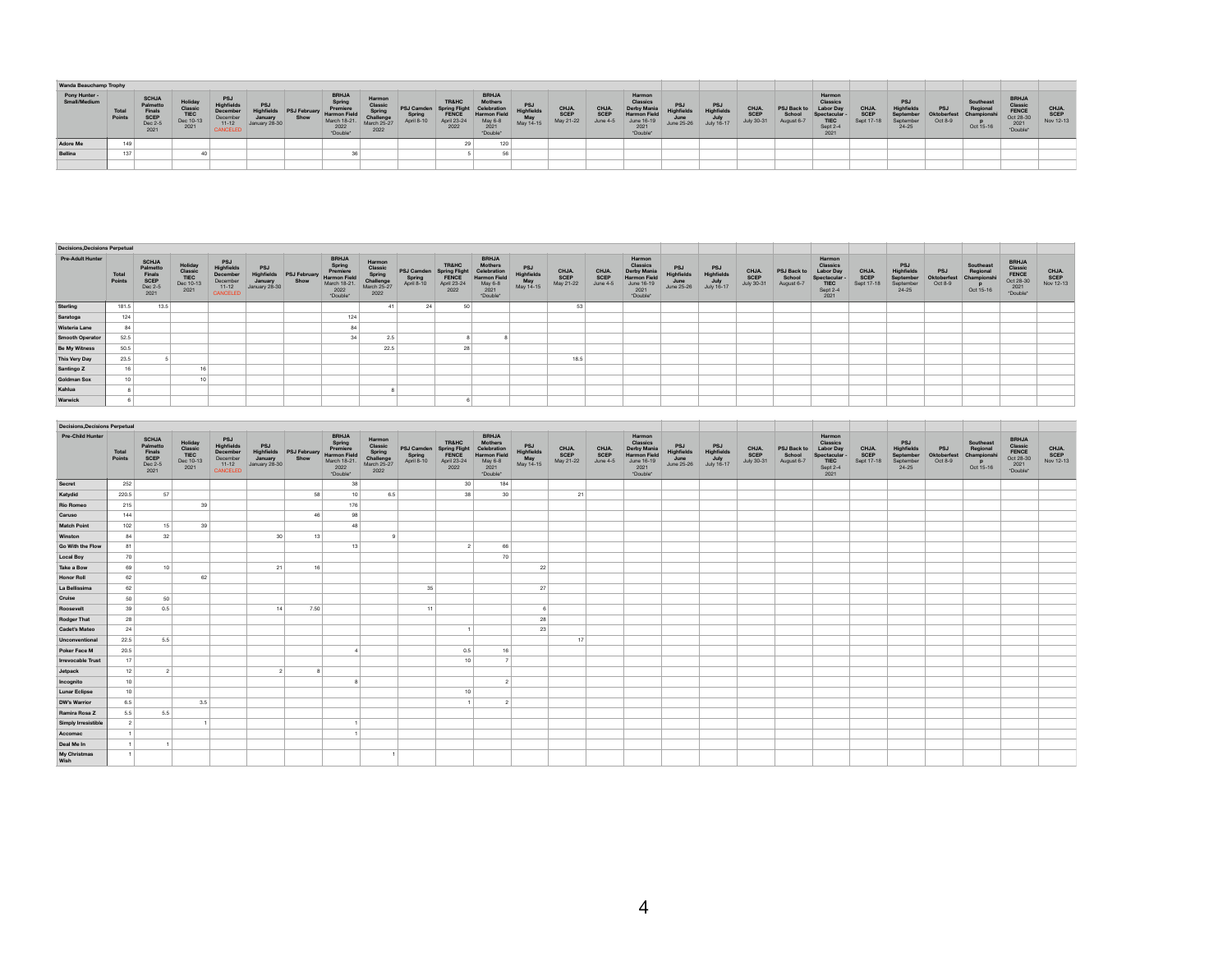|              | <b>Wanda Beauchamp Trophy</b> |                 |                                                                      |                                               |                                                                                  |                                                             |      |                                                                                                           |                                                              |                                                  |                                                                      |                                                                                            |                 |                            |                           |                                                                                                 |                                               |                                                       |                                          |                                            |                                                                                         |                                    |                                                                        |                                      |                                                 |                                                                         |                            |
|--------------|-------------------------------|-----------------|----------------------------------------------------------------------|-----------------------------------------------|----------------------------------------------------------------------------------|-------------------------------------------------------------|------|-----------------------------------------------------------------------------------------------------------|--------------------------------------------------------------|--------------------------------------------------|----------------------------------------------------------------------|--------------------------------------------------------------------------------------------|-----------------|----------------------------|---------------------------|-------------------------------------------------------------------------------------------------|-----------------------------------------------|-------------------------------------------------------|------------------------------------------|--------------------------------------------|-----------------------------------------------------------------------------------------|------------------------------------|------------------------------------------------------------------------|--------------------------------------|-------------------------------------------------|-------------------------------------------------------------------------|----------------------------|
| Small/Mediun | Pony Hunter -                 | Total<br>Points | <b>SCHJA</b><br>Palmetto<br>Finals<br><b>SCEP</b><br>Dec 2-5<br>2021 | Holida<br>Classi<br>TIEC<br>Dec 10-13<br>2021 | <b>PSJ</b><br><b>Highfield:</b><br>December<br>December<br>$11 - 12$<br>CANCELED | <b>PSJ</b><br><b>Highfields</b><br>January<br>January 28-30 | Show | <b>BRHJA</b><br>Spring<br>Premier<br>muelds PSJ February Harmon Field<br>March 18-21.<br>2022<br>*Double* | Harmo<br>Classi<br>Sprin<br>Challenge<br>March 25-27<br>2022 | <b>PSJ Camden</b><br><b>Spring</b><br>April 8-10 | <b>TR&amp;HC</b><br>Spring F'<br><b>FENCE</b><br>April 23-24<br>2022 | <b>BRHJA</b><br>Mothen<br>Celebration<br><b>Harmon Fiel</b><br>May 6-8<br>2021<br>*Double* | May<br>May 14-1 | CHJA.<br>SCEP<br>May 21-22 | CHJA.<br>SCEP<br>June 4-5 | Harmon<br>Classics<br><b>Derby Mania</b><br><b>Harmon Fie</b><br>June 16-19<br>2021<br>*Double* | <b>PSJ</b><br>ighfields<br>June<br>June 25-26 | <b>PSJ</b><br><b>Highfields</b><br>July<br>July 16-17 | <b>CHJA</b><br><b>SCEF</b><br>July 30-31 | <b>PSJ Back to</b><br>School<br>August 6-7 | Harmon<br><b>Classics</b><br>Labor Day<br>Spectacula<br><b>TIEC</b><br>Sept 2-4<br>2021 | CHJA.<br><b>SCEP</b><br>Sept 17-18 | <b>PSJ</b><br><b>Highfields</b><br>September<br>September<br>$24 - 25$ | <b>PSJ</b><br>Oktoberles*<br>Oct 8-9 | Southeast<br>Regional<br>Champions<br>Oct 15-16 | <b>BRHJA</b><br>Classic<br><b>FENCE</b><br>Oct 28-3<br>2021<br>*Double* | CHJA.<br>SCEP<br>Nov 12-13 |
| Adore Me     |                               | 149             |                                                                      |                                               |                                                                                  |                                                             |      |                                                                                                           |                                                              |                                                  | 29                                                                   | 120                                                                                        |                 |                            |                           |                                                                                                 |                                               |                                                       |                                          |                                            |                                                                                         |                                    |                                                                        |                                      |                                                 |                                                                         |                            |
| Bellina      |                               | 137             |                                                                      |                                               |                                                                                  |                                                             |      |                                                                                                           |                                                              |                                                  |                                                                      | 56                                                                                         |                 |                            |                           |                                                                                                 |                                               |                                                       |                                          |                                            |                                                                                         |                                    |                                                                        |                                      |                                                 |                                                                         |                            |
|              |                               |                 |                                                                      |                                               |                                                                                  |                                                             |      |                                                                                                           |                                                              |                                                  |                                                                      |                                                                                            |                 |                            |                           |                                                                                                 |                                               |                                                       |                                          |                                            |                                                                                         |                                    |                                                                        |                                      |                                                 |                                                                         |                            |

| <b>Decisions, Decisions Perpetual</b> |                 |                                                               |                                                        |                                                                    |                                               |                             |                                                                                               |                                                                |                                           |                                                                                 |                                                                                                     |                                             |                                   |                           |                                                                                            |                                                       |                                 |                                          |                                     |                                                                                          |                                    |                                                         |                                      |                                                          |                                                                  |                            |
|---------------------------------------|-----------------|---------------------------------------------------------------|--------------------------------------------------------|--------------------------------------------------------------------|-----------------------------------------------|-----------------------------|-----------------------------------------------------------------------------------------------|----------------------------------------------------------------|-------------------------------------------|---------------------------------------------------------------------------------|-----------------------------------------------------------------------------------------------------|---------------------------------------------|-----------------------------------|---------------------------|--------------------------------------------------------------------------------------------|-------------------------------------------------------|---------------------------------|------------------------------------------|-------------------------------------|------------------------------------------------------------------------------------------|------------------------------------|---------------------------------------------------------|--------------------------------------|----------------------------------------------------------|------------------------------------------------------------------|----------------------------|
| <b>Pre-Adult Hunter</b>               | Total<br>Points | <b>SCHJA</b><br>Palmetto<br>Finals<br>SCEP<br>Dec 2-8<br>2021 | Holiday<br>Classic<br><b>TIEC</b><br>Dec 10-13<br>2021 | PSJ<br>Highfields<br>December<br>December<br>$11 - 12$<br>CANCELED | PSJ<br>Highfields<br>January<br>January 28-30 | <b>PSJ February</b><br>Show | <b>BRHJA</b><br>Spring<br>Premiere<br><b>Harmon Field</b><br>March 18-21.<br>2022<br>*Double* | Harmor<br>Classi<br>Spring<br>Challenge<br>March 25-27<br>2022 | <b>PSJ Camden</b><br>Spring<br>April 8-10 | <b>TR&amp;HC</b><br><b>Spring Flight</b><br><b>FENCE</b><br>April 23-24<br>2022 | <b>BRHJA</b><br><b>Mothers</b><br>Celebration<br><b>Harmon Field</b><br>May 6-8<br>2021<br>*Double* | <b>PSJ</b><br>Highfield<br>May<br>May 14-15 | CHJA.<br><b>SCEP</b><br>May 21-22 | CHJA.<br>SCEP<br>June 4-5 | Harmon<br>Classics<br>Derby Mania<br><b>Harmon Field</b><br>June 16-19<br>2021<br>*Double* | <b>PSJ</b><br><b>Highfields</b><br>June<br>June 25-26 | PSJ<br>Highfields<br>July 16-17 | CHJA<br><b>SCEP</b><br><b>July 30-31</b> | PSJ Back to<br>School<br>August 6-7 | Harmon<br>Classics<br><b>Labor Day</b><br>Spectacular<br><b>TIEC</b><br>Sept 2-4<br>2021 | CHJA.<br><b>SCEP</b><br>Sept 17-18 | PSJ<br>Highfields<br>Septembe<br>September<br>$24 - 25$ | <b>PSJ</b><br>Oktoberfest<br>Oct 8-9 | Southeast<br>Regional<br>Championshi<br>$p$<br>Oct 15-16 | <b>BRHJA</b><br>Classic<br>FENCE<br>Oct 28-30<br>2021<br>*Double | CHJA.<br>SCEP<br>Nov 12-13 |
| Sterling                              | 181.5           | 13.5                                                          |                                                        |                                                                    |                                               |                             |                                                                                               |                                                                | 24                                        | 50                                                                              |                                                                                                     |                                             | 53                                |                           |                                                                                            |                                                       |                                 |                                          |                                     |                                                                                          |                                    |                                                         |                                      |                                                          |                                                                  |                            |
| Saratoga                              | 124             |                                                               |                                                        |                                                                    |                                               |                             | 124                                                                                           |                                                                |                                           |                                                                                 |                                                                                                     |                                             |                                   |                           |                                                                                            |                                                       |                                 |                                          |                                     |                                                                                          |                                    |                                                         |                                      |                                                          |                                                                  |                            |
| Wisteria Lane                         | 84              |                                                               |                                                        |                                                                    |                                               |                             | 84                                                                                            |                                                                |                                           |                                                                                 |                                                                                                     |                                             |                                   |                           |                                                                                            |                                                       |                                 |                                          |                                     |                                                                                          |                                    |                                                         |                                      |                                                          |                                                                  |                            |
| <b>Smooth Operator</b>                | 52.5            |                                                               |                                                        |                                                                    |                                               |                             |                                                                                               | 2.5                                                            |                                           |                                                                                 |                                                                                                     |                                             |                                   |                           |                                                                                            |                                                       |                                 |                                          |                                     |                                                                                          |                                    |                                                         |                                      |                                                          |                                                                  |                            |
| <b>Be My Witness</b>                  | 50.5            |                                                               |                                                        |                                                                    |                                               |                             |                                                                                               | 22.5                                                           |                                           |                                                                                 |                                                                                                     |                                             |                                   |                           |                                                                                            |                                                       |                                 |                                          |                                     |                                                                                          |                                    |                                                         |                                      |                                                          |                                                                  |                            |
| This Very Day                         | 23.5            |                                                               |                                                        |                                                                    |                                               |                             |                                                                                               |                                                                |                                           |                                                                                 |                                                                                                     |                                             | 18.5                              |                           |                                                                                            |                                                       |                                 |                                          |                                     |                                                                                          |                                    |                                                         |                                      |                                                          |                                                                  |                            |
| Santingo Z                            | 16              |                                                               |                                                        |                                                                    |                                               |                             |                                                                                               |                                                                |                                           |                                                                                 |                                                                                                     |                                             |                                   |                           |                                                                                            |                                                       |                                 |                                          |                                     |                                                                                          |                                    |                                                         |                                      |                                                          |                                                                  |                            |
| <b>Goldman Sox</b>                    | 10              |                                                               | 10                                                     |                                                                    |                                               |                             |                                                                                               |                                                                |                                           |                                                                                 |                                                                                                     |                                             |                                   |                           |                                                                                            |                                                       |                                 |                                          |                                     |                                                                                          |                                    |                                                         |                                      |                                                          |                                                                  |                            |
| Kahlua                                |                 |                                                               |                                                        |                                                                    |                                               |                             |                                                                                               |                                                                |                                           |                                                                                 |                                                                                                     |                                             |                                   |                           |                                                                                            |                                                       |                                 |                                          |                                     |                                                                                          |                                    |                                                         |                                      |                                                          |                                                                  |                            |
| Warwick                               |                 |                                                               |                                                        |                                                                    |                                               |                             |                                                                                               |                                                                |                                           |                                                                                 |                                                                                                     |                                             |                                   |                           |                                                                                            |                                                       |                                 |                                          |                                     |                                                                                          |                                    |                                                         |                                      |                                                          |                                                                  |                            |

| <b>Decisions, Decisions Perpetual</b> |                        |                                                               |                                                 |                                                                  |                                               |                      |                                                                                        |                                                                 |    |                                                                                                |                                                                                                     |                                       |                            |                                  |                                                                                     |                                                      |                                         |                             |                                     |                                                                                             |                             |                                                                 |                               |                                                        |                                                            |                            |
|---------------------------------------|------------------------|---------------------------------------------------------------|-------------------------------------------------|------------------------------------------------------------------|-----------------------------------------------|----------------------|----------------------------------------------------------------------------------------|-----------------------------------------------------------------|----|------------------------------------------------------------------------------------------------|-----------------------------------------------------------------------------------------------------|---------------------------------------|----------------------------|----------------------------------|-------------------------------------------------------------------------------------|------------------------------------------------------|-----------------------------------------|-----------------------------|-------------------------------------|---------------------------------------------------------------------------------------------|-----------------------------|-----------------------------------------------------------------|-------------------------------|--------------------------------------------------------|------------------------------------------------------------|----------------------------|
| Pre-Child Hunter                      | <b>Total</b><br>Points | <b>SCHJA</b><br>Palmetto<br>Finals<br>SCEP<br>Dec 2-5<br>2021 | Holiday<br>Classic<br>TIEC<br>Dec 10-13<br>2021 | PSJ<br>Highfields<br>December<br>December<br>$11-12$<br>CANCELED | PSJ<br>Highfields<br>January<br>January 28-30 | PSJ February<br>Show | <b>BRHJA</b><br>Spring<br>Premiere<br>Harmon Field<br>March 18-21.<br>2022<br>*Double* | Harmon<br>Classic<br>Spring<br>Challenge<br>March 25-27<br>2022 |    | <b>TR&amp;HC</b><br>PSJ Camden Spring Flight<br>Spring FENCE<br>April 8-10 April 23-24<br>2022 | <b>BRHJA</b><br><b>Mothers</b><br>Celebration<br><b>Harmon Field</b><br>May 6-8<br>2021<br>"Double" | PSJ<br>Highfields<br>May<br>May 14-15 | CHJA.<br>SCEP<br>May 21-22 | <b>CHJA.</b><br>SCEP<br>June 4-5 | Harmon<br>Classics<br>Derby Mania<br>Harmon Field<br>June 16-19<br>2021<br>*Double* | PSJ<br>Highfields<br>$\frac{3}{3}$ une<br>June 25-26 | PSJ<br>Highfields<br>July<br>July 16-17 | CHJA.<br>SCEP<br>July 30-31 | PSJ Back to<br>School<br>August 6-7 | Harmon<br><b>Classics</b><br><b>Labor Day</b><br>Spectacular -<br>TIEC<br>$rac{2021}{2021}$ | CHJA.<br>SCEP<br>Sept 17-18 | PSJ<br><b>Highfields</b><br>September<br>September<br>$24 - 25$ | PSJ<br>Oktoberfest<br>Oct 8-9 | Southeast<br>Regional<br>Championshi<br>P<br>Oct 15-16 | BRHJA<br>Classic<br>FENCE<br>Oct 28-30<br>2021<br>*Double* | CHJA.<br>SCEP<br>Nov 12-13 |
| Secret                                | 252                    |                                                               |                                                 |                                                                  |                                               |                      | 38                                                                                     |                                                                 |    | 30 <sup>1</sup>                                                                                | 184                                                                                                 |                                       |                            |                                  |                                                                                     |                                                      |                                         |                             |                                     |                                                                                             |                             |                                                                 |                               |                                                        |                                                            |                            |
| Katydid                               | 220.5                  | 57                                                            |                                                 |                                                                  |                                               | 58                   | 10                                                                                     | 6.5                                                             |    | 38                                                                                             | 30                                                                                                  |                                       | 21                         |                                  |                                                                                     |                                                      |                                         |                             |                                     |                                                                                             |                             |                                                                 |                               |                                                        |                                                            |                            |
| <b>Rio Romeo</b>                      | 215                    |                                                               | 39                                              |                                                                  |                                               |                      | 176                                                                                    |                                                                 |    |                                                                                                |                                                                                                     |                                       |                            |                                  |                                                                                     |                                                      |                                         |                             |                                     |                                                                                             |                             |                                                                 |                               |                                                        |                                                            |                            |
| Caruso                                | 144                    |                                                               |                                                 |                                                                  |                                               | 46                   | 98                                                                                     |                                                                 |    |                                                                                                |                                                                                                     |                                       |                            |                                  |                                                                                     |                                                      |                                         |                             |                                     |                                                                                             |                             |                                                                 |                               |                                                        |                                                            |                            |
| <b>Match Point</b>                    | 102                    | 15                                                            | 39                                              |                                                                  |                                               |                      | 4R                                                                                     |                                                                 |    |                                                                                                |                                                                                                     |                                       |                            |                                  |                                                                                     |                                                      |                                         |                             |                                     |                                                                                             |                             |                                                                 |                               |                                                        |                                                            |                            |
| Winston                               | 84                     | 32                                                            |                                                 |                                                                  | 30 <sup>°</sup>                               | 13                   |                                                                                        |                                                                 |    |                                                                                                |                                                                                                     |                                       |                            |                                  |                                                                                     |                                                      |                                         |                             |                                     |                                                                                             |                             |                                                                 |                               |                                                        |                                                            |                            |
| Go With the Flow                      | 81                     |                                                               |                                                 |                                                                  |                                               |                      | 13                                                                                     |                                                                 |    | $\overline{2}$                                                                                 | 66                                                                                                  |                                       |                            |                                  |                                                                                     |                                                      |                                         |                             |                                     |                                                                                             |                             |                                                                 |                               |                                                        |                                                            |                            |
| <b>Local Boy</b>                      | 70                     |                                                               |                                                 |                                                                  |                                               |                      |                                                                                        |                                                                 |    |                                                                                                | 70                                                                                                  |                                       |                            |                                  |                                                                                     |                                                      |                                         |                             |                                     |                                                                                             |                             |                                                                 |                               |                                                        |                                                            |                            |
| <b>Take a Bow</b>                     | 69                     | 10                                                            |                                                 |                                                                  | 21                                            | 16                   |                                                                                        |                                                                 |    |                                                                                                |                                                                                                     | 22                                    |                            |                                  |                                                                                     |                                                      |                                         |                             |                                     |                                                                                             |                             |                                                                 |                               |                                                        |                                                            |                            |
| <b>Honor Roll</b>                     | 62                     |                                                               | 62                                              |                                                                  |                                               |                      |                                                                                        |                                                                 |    |                                                                                                |                                                                                                     |                                       |                            |                                  |                                                                                     |                                                      |                                         |                             |                                     |                                                                                             |                             |                                                                 |                               |                                                        |                                                            |                            |
| La Bellissima                         | 62                     |                                                               |                                                 |                                                                  |                                               |                      |                                                                                        |                                                                 | 35 |                                                                                                |                                                                                                     | 27                                    |                            |                                  |                                                                                     |                                                      |                                         |                             |                                     |                                                                                             |                             |                                                                 |                               |                                                        |                                                            |                            |
| Cruise                                | 50                     | 50                                                            |                                                 |                                                                  |                                               |                      |                                                                                        |                                                                 |    |                                                                                                |                                                                                                     |                                       |                            |                                  |                                                                                     |                                                      |                                         |                             |                                     |                                                                                             |                             |                                                                 |                               |                                                        |                                                            |                            |
| Roosevelt                             | 39                     | 0.5                                                           |                                                 |                                                                  | 14                                            | 7.50                 |                                                                                        |                                                                 | 11 |                                                                                                |                                                                                                     |                                       |                            |                                  |                                                                                     |                                                      |                                         |                             |                                     |                                                                                             |                             |                                                                 |                               |                                                        |                                                            |                            |
| <b>Rodger That</b>                    | 28                     |                                                               |                                                 |                                                                  |                                               |                      |                                                                                        |                                                                 |    |                                                                                                |                                                                                                     | 28                                    |                            |                                  |                                                                                     |                                                      |                                         |                             |                                     |                                                                                             |                             |                                                                 |                               |                                                        |                                                            |                            |
| <b>Cadet's Mateo</b>                  | 24                     |                                                               |                                                 |                                                                  |                                               |                      |                                                                                        |                                                                 |    |                                                                                                |                                                                                                     | 23                                    |                            |                                  |                                                                                     |                                                      |                                         |                             |                                     |                                                                                             |                             |                                                                 |                               |                                                        |                                                            |                            |
| Unconventional                        | 22.5                   | 5.5                                                           |                                                 |                                                                  |                                               |                      |                                                                                        |                                                                 |    |                                                                                                |                                                                                                     |                                       | 17                         |                                  |                                                                                     |                                                      |                                         |                             |                                     |                                                                                             |                             |                                                                 |                               |                                                        |                                                            |                            |
| Poker Face M                          | 20.5                   |                                                               |                                                 |                                                                  |                                               |                      |                                                                                        |                                                                 |    | 0.5                                                                                            | 16                                                                                                  |                                       |                            |                                  |                                                                                     |                                                      |                                         |                             |                                     |                                                                                             |                             |                                                                 |                               |                                                        |                                                            |                            |
| <b>Irrevocable Trust</b>              | 17                     |                                                               |                                                 |                                                                  |                                               |                      |                                                                                        |                                                                 |    | 10                                                                                             |                                                                                                     |                                       |                            |                                  |                                                                                     |                                                      |                                         |                             |                                     |                                                                                             |                             |                                                                 |                               |                                                        |                                                            |                            |
| Jetpack                               | 12                     | $\overline{2}$                                                |                                                 |                                                                  | $\overline{2}$                                |                      |                                                                                        |                                                                 |    |                                                                                                |                                                                                                     |                                       |                            |                                  |                                                                                     |                                                      |                                         |                             |                                     |                                                                                             |                             |                                                                 |                               |                                                        |                                                            |                            |
| Incognito                             | 10                     |                                                               |                                                 |                                                                  |                                               |                      |                                                                                        |                                                                 |    |                                                                                                |                                                                                                     |                                       |                            |                                  |                                                                                     |                                                      |                                         |                             |                                     |                                                                                             |                             |                                                                 |                               |                                                        |                                                            |                            |
| <b>Lunar Eclipse</b>                  | 10                     |                                                               |                                                 |                                                                  |                                               |                      |                                                                                        |                                                                 |    | 10                                                                                             |                                                                                                     |                                       |                            |                                  |                                                                                     |                                                      |                                         |                             |                                     |                                                                                             |                             |                                                                 |                               |                                                        |                                                            |                            |
| <b>DW's Warrior</b>                   | 6.5                    |                                                               | 3.5                                             |                                                                  |                                               |                      |                                                                                        |                                                                 |    |                                                                                                |                                                                                                     |                                       |                            |                                  |                                                                                     |                                                      |                                         |                             |                                     |                                                                                             |                             |                                                                 |                               |                                                        |                                                            |                            |
| Ramira Rosa Z                         | 5.5                    | 5.5                                                           |                                                 |                                                                  |                                               |                      |                                                                                        |                                                                 |    |                                                                                                |                                                                                                     |                                       |                            |                                  |                                                                                     |                                                      |                                         |                             |                                     |                                                                                             |                             |                                                                 |                               |                                                        |                                                            |                            |
| Simply Irresistible                   | $\overline{2}$         |                                                               |                                                 |                                                                  |                                               |                      |                                                                                        |                                                                 |    |                                                                                                |                                                                                                     |                                       |                            |                                  |                                                                                     |                                                      |                                         |                             |                                     |                                                                                             |                             |                                                                 |                               |                                                        |                                                            |                            |
| Accomac                               |                        |                                                               |                                                 |                                                                  |                                               |                      |                                                                                        |                                                                 |    |                                                                                                |                                                                                                     |                                       |                            |                                  |                                                                                     |                                                      |                                         |                             |                                     |                                                                                             |                             |                                                                 |                               |                                                        |                                                            |                            |
| Deal Me In                            |                        |                                                               |                                                 |                                                                  |                                               |                      |                                                                                        |                                                                 |    |                                                                                                |                                                                                                     |                                       |                            |                                  |                                                                                     |                                                      |                                         |                             |                                     |                                                                                             |                             |                                                                 |                               |                                                        |                                                            |                            |
| My Christmas<br>Wish                  |                        |                                                               |                                                 |                                                                  |                                               |                      |                                                                                        |                                                                 |    |                                                                                                |                                                                                                     |                                       |                            |                                  |                                                                                     |                                                      |                                         |                             |                                     |                                                                                             |                             |                                                                 |                               |                                                        |                                                            |                            |
|                                       |                        |                                                               |                                                 |                                                                  |                                               |                      |                                                                                        |                                                                 |    |                                                                                                |                                                                                                     |                                       |                            |                                  |                                                                                     |                                                      |                                         |                             |                                     |                                                                                             |                             |                                                                 |                               |                                                        |                                                            |                            |